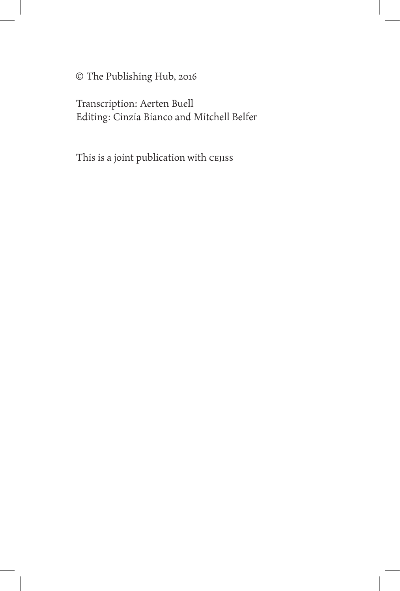© The Publishing Hub, 2016

Transcription: Aerten Buell Editing: Cinzia Bianco and Mitchell Belfer

This is a joint publication with CEJISS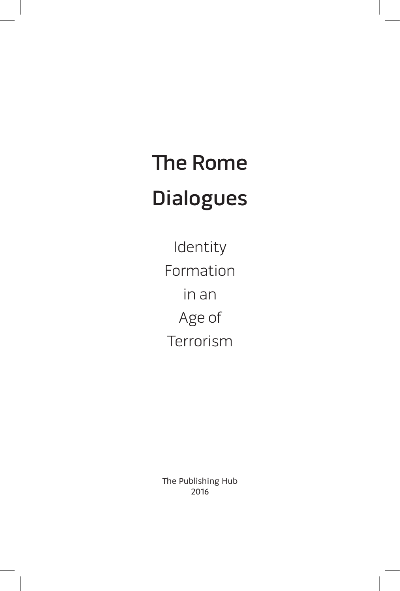# The Rome Dialogues

Identity Formation in an Age of Terrorism

The Publishing Hub 2016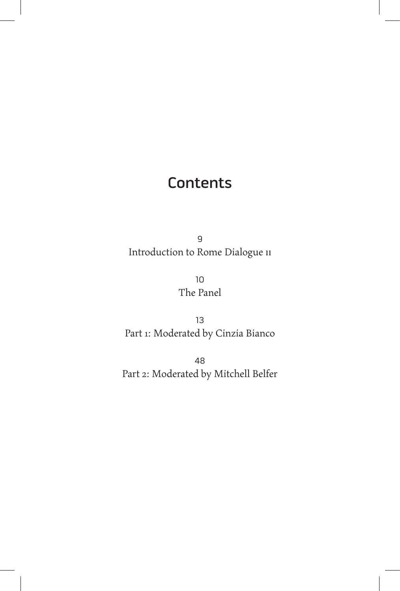#### **Contents**

9 Introduction to Rome Dialogue II

> 10 The Panel

13 Part 1: Moderated by Cinzia Bianco

48 Part 2: Moderated by Mitchell Belfer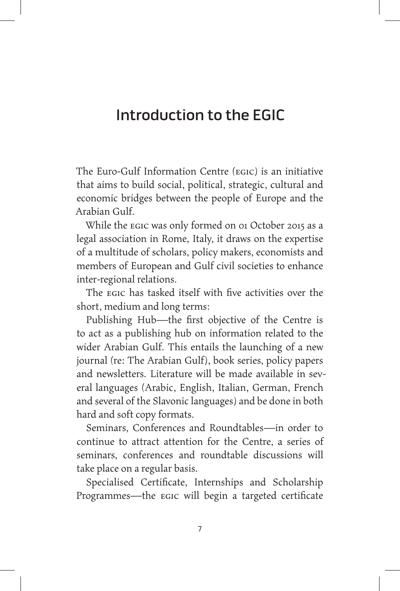#### Introduction to the EGIC

The Euro-Gulf Information Centre (EGIC) is an initiative that aims to build social, political, strategic, cultural and economic bridges between the people of Europe and the Arabian Gulf.

While the EGIC was only formed on 01 October 2015 as a legal association in Rome, Italy, it draws on the expertise of a multitude of scholars, policy makers, economists and members of European and Gulf civil societies to enhance inter-regional relations.

The EGIC has tasked itself with five activities over the short, medium and long terms:

Publishing Hub—the first objective of the Centre is to act as a publishing hub on information related to the wider Arabian Gulf. This entails the launching of a new journal (re: The Arabian Gulf), book series, policy papers and newsletters. Literature will be made available in several languages (Arabic, English, Italian, German, French and several of the Slavonic languages) and be done in both hard and soft copy formats.

Seminars, Conferences and Roundtables—in order to continue to attract attention for the Centre, a series of seminars, conferences and roundtable discussions will take place on a regular basis.

Specialised Certificate, Internships and Scholarship Programmes—the EGIC will begin a targeted certificate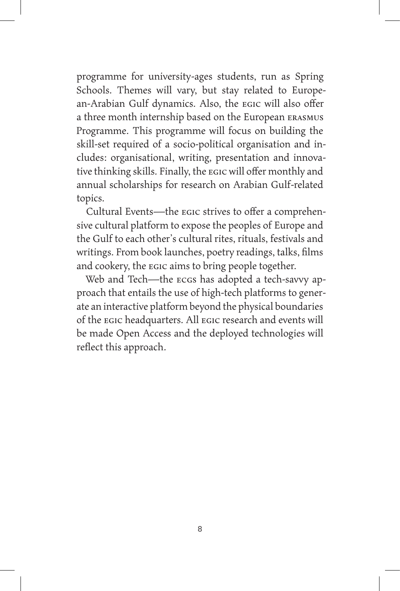programme for university-ages students, run as Spring Schools. Themes will vary, but stay related to European-Arabian Gulf dynamics. Also, the EGIC will also offer a three month internship based on the European ERASMUS Programme. This programme will focus on building the skill-set required of a socio-political organisation and includes: organisational, writing, presentation and innovative thinking skills. Finally, the EGIC will offer monthly and annual scholarships for research on Arabian Gulf-related topics.

Cultural Events—the EGIC strives to offer a comprehensive cultural platform to expose the peoples of Europe and the Gulf to each other's cultural rites, rituals, festivals and writings. From book launches, poetry readings, talks, films and cookery, the EGIC aims to bring people together.

Web and Tech—the ECGS has adopted a tech-savvy approach that entails the use of high-tech platforms to generate an interactive platform beyond the physical boundaries of the EGIC headquarters. All EGIC research and events will be made Open Access and the deployed technologies will reflect this approach.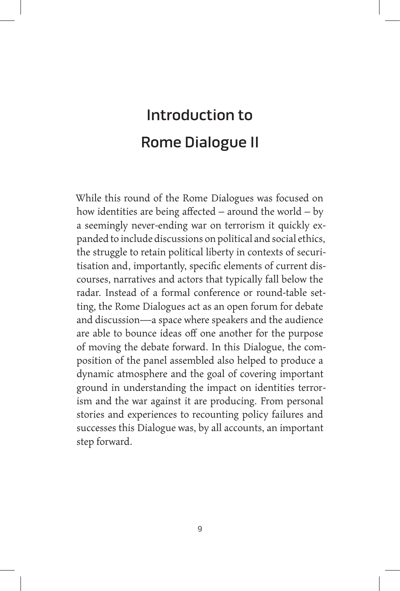## Introduction to Rome Dialogue II

While this round of the Rome Dialogues was focused on how identities are being affected – around the world – by a seemingly never-ending war on terrorism it quickly expanded to include discussions on political and social ethics, the struggle to retain political liberty in contexts of securitisation and, importantly, specific elements of current discourses, narratives and actors that typically fall below the radar. Instead of a formal conference or round-table setting, the Rome Dialogues act as an open forum for debate and discussion—a space where speakers and the audience are able to bounce ideas off one another for the purpose of moving the debate forward. In this Dialogue, the composition of the panel assembled also helped to produce a dynamic atmosphere and the goal of covering important ground in understanding the impact on identities terrorism and the war against it are producing. From personal stories and experiences to recounting policy failures and successes this Dialogue was, by all accounts, an important step forward.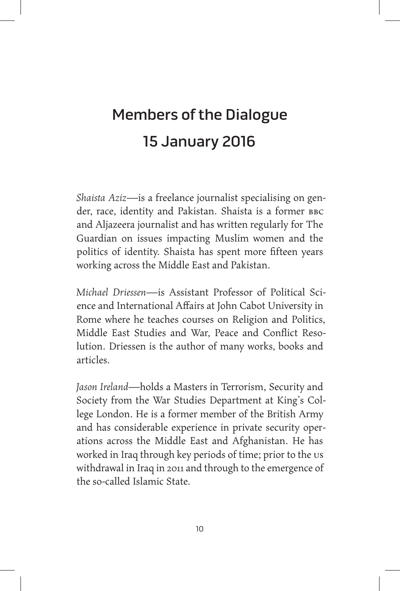### Members of the Dialogue 15 January 2016

*Shaista Aziz*—is a freelance journalist specialising on gender, race, identity and Pakistan. Shaista is a former BBC and Aljazeera journalist and has written regularly for The Guardian on issues impacting Muslim women and the politics of identity. Shaista has spent more fifteen years working across the Middle East and Pakistan.

*Michael Driessen*—is Assistant Professor of Political Science and International Affairs at John Cabot University in Rome where he teaches courses on Religion and Politics, Middle East Studies and War, Peace and Conflict Resolution. Driessen is the author of many works, books and articles.

*Jason Ireland*—holds a Masters in Terrorism, Security and Society from the War Studies Department at King's College London. He is a former member of the British Army and has considerable experience in private security operations across the Middle East and Afghanistan. He has worked in Iraq through key periods of time; prior to the us withdrawal in Iraq in 2011 and through to the emergence of the so-called Islamic State.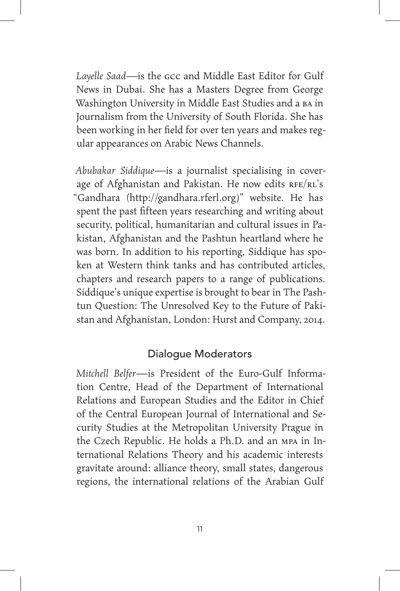*Layelle Saad*—is the GCC and Middle East Editor for Gulf News in Dubai. She has a Masters Degree from George Washington University in Middle East Studies and a BA in Journalism from the University of South Florida. She has been working in her field for over ten years and makes regular appearances on Arabic News Channels.

*Abubakar Siddique*—is a journalist specialising in coverage of Afghanistan and Pakistan. He now edits RFE/RL's "Gandhara (http://gandhara.rferl.org)" website. He has spent the past fifteen years researching and writing about security, political, humanitarian and cultural issues in Pakistan, Afghanistan and the Pashtun heartland where he was born. In addition to his reporting, Siddique has spoken at Western think tanks and has contributed articles, chapters and research papers to a range of publications. Siddique's unique expertise is brought to bear in The Pashtun Question: The Unresolved Key to the Future of Pakistan and Afghanistan, London: Hurst and Company, 2014.

#### Dialogue Moderators

*Mitchell Belfer*—is President of the Euro-Gulf Information Centre, Head of the Department of International Relations and European Studies and the Editor in Chief of the Central European Journal of International and Security Studies at the Metropolitan University Prague in the Czech Republic. He holds a Ph.D. and an MPA in International Relations Theory and his academic interests gravitate around: alliance theory, small states, dangerous regions, the international relations of the Arabian Gulf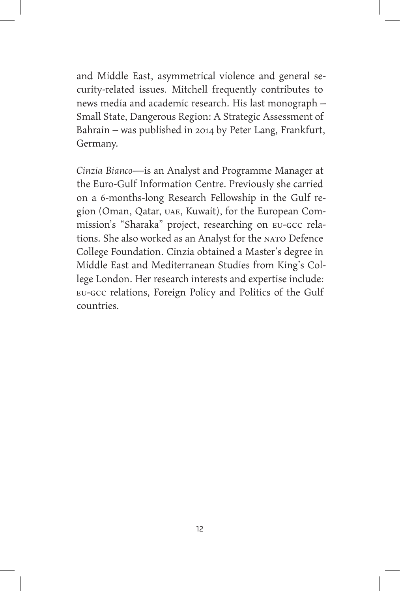and Middle East, asymmetrical violence and general security-related issues. Mitchell frequently contributes to news media and academic research. His last monograph – Small State, Dangerous Region: A Strategic Assessment of Bahrain – was published in 2014 by Peter Lang, Frankfurt, Germany.

*Cinzia Bianco*—is an Analyst and Programme Manager at the Euro-Gulf Information Centre. Previously she carried on a 6-months-long Research Fellowship in the Gulf region (Oman, Qatar, UAE, Kuwait), for the European Commission's "Sharaka" project, researching on EU-GCC relations. She also worked as an Analyst for the NATO Defence College Foundation. Cinzia obtained a Master's degree in Middle East and Mediterranean Studies from King's College London. Her research interests and expertise include: EU-GCC relations, Foreign Policy and Politics of the Gulf countries.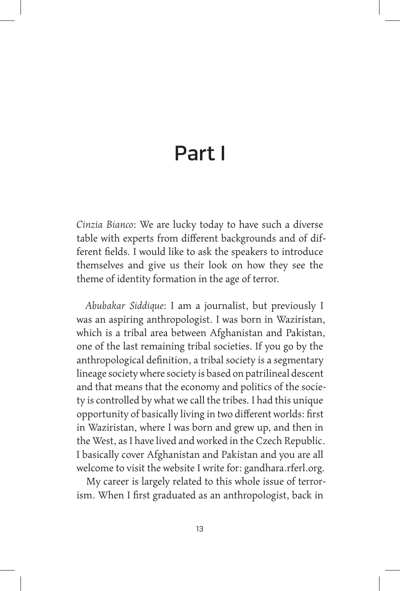### Part I

*Cinzia Bianco*: We are lucky today to have such a diverse table with experts from different backgrounds and of different fields. I would like to ask the speakers to introduce themselves and give us their look on how they see the theme of identity formation in the age of terror.

*Abubakar Siddique*: I am a journalist, but previously I was an aspiring anthropologist. I was born in Waziristan, which is a tribal area between Afghanistan and Pakistan, one of the last remaining tribal societies. If you go by the anthropological definition, a tribal society is a segmentary lineage society where society is based on patrilineal descent and that means that the economy and politics of the society is controlled by what we call the tribes. I had this unique opportunity of basically living in two different worlds: first in Waziristan, where I was born and grew up, and then in the West, as I have lived and worked in the Czech Republic. I basically cover Afghanistan and Pakistan and you are all welcome to visit the website I write for: gandhara.rferl.org.

My career is largely related to this whole issue of terrorism. When I first graduated as an anthropologist, back in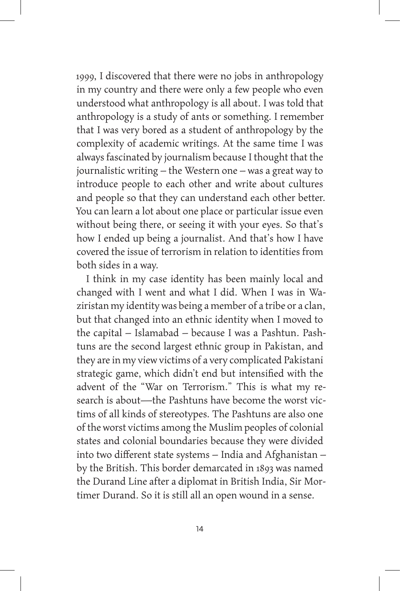1999, I discovered that there were no jobs in anthropology in my country and there were only a few people who even understood what anthropology is all about. I was told that anthropology is a study of ants or something. I remember that I was very bored as a student of anthropology by the complexity of academic writings. At the same time I was always fascinated by journalism because I thought that the journalistic writing – the Western one – was a great way to introduce people to each other and write about cultures and people so that they can understand each other better. You can learn a lot about one place or particular issue even without being there, or seeing it with your eyes. So that's how I ended up being a journalist. And that's how I have covered the issue of terrorism in relation to identities from both sides in a way.

I think in my case identity has been mainly local and changed with I went and what I did. When I was in Waziristan my identity was being a member of a tribe or a clan, but that changed into an ethnic identity when I moved to the capital – Islamabad – because I was a Pashtun. Pashtuns are the second largest ethnic group in Pakistan, and they are in my view victims of a very complicated Pakistani strategic game, which didn't end but intensified with the advent of the "War on Terrorism." This is what my research is about—the Pashtuns have become the worst victims of all kinds of stereotypes. The Pashtuns are also one of the worst victims among the Muslim peoples of colonial states and colonial boundaries because they were divided into two different state systems – India and Afghanistan – by the British. This border demarcated in 1893 was named the Durand Line after a diplomat in British India, Sir Mortimer Durand. So it is still all an open wound in a sense.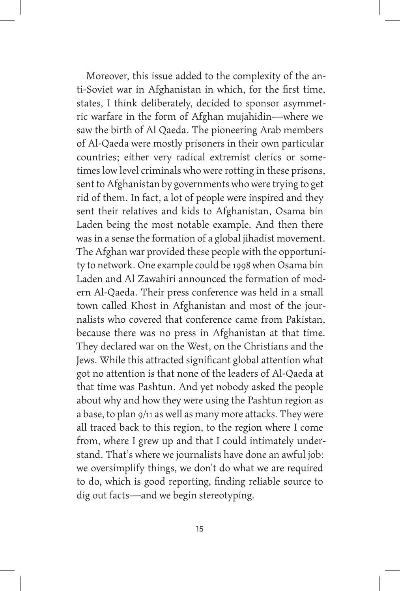Moreover, this issue added to the complexity of the anti-Soviet war in Afghanistan in which, for the first time, states, I think deliberately, decided to sponsor asymmetric warfare in the form of Afghan mujahidin—where we saw the birth of Al Qaeda. The pioneering Arab members of Al-Qaeda were mostly prisoners in their own particular countries; either very radical extremist clerics or sometimes low level criminals who were rotting in these prisons, sent to Afghanistan by governments who were trying to get rid of them. In fact, a lot of people were inspired and they sent their relatives and kids to Afghanistan, Osama bin Laden being the most notable example. And then there was in a sense the formation of a global jihadist movement. The Afghan war provided these people with the opportunity to network. One example could be 1998 when Osama bin Laden and Al Zawahiri announced the formation of modern Al-Qaeda. Their press conference was held in a small town called Khost in Afghanistan and most of the journalists who covered that conference came from Pakistan, because there was no press in Afghanistan at that time. They declared war on the West, on the Christians and the Jews. While this attracted significant global attention what got no attention is that none of the leaders of Al-Qaeda at that time was Pashtun. And yet nobody asked the people about why and how they were using the Pashtun region as a base, to plan 9/11 as well as many more attacks. They were all traced back to this region, to the region where I come from, where I grew up and that I could intimately understand. That's where we journalists have done an awful job: we oversimplify things, we don't do what we are required to do, which is good reporting, finding reliable source to dig out facts—and we begin stereotyping.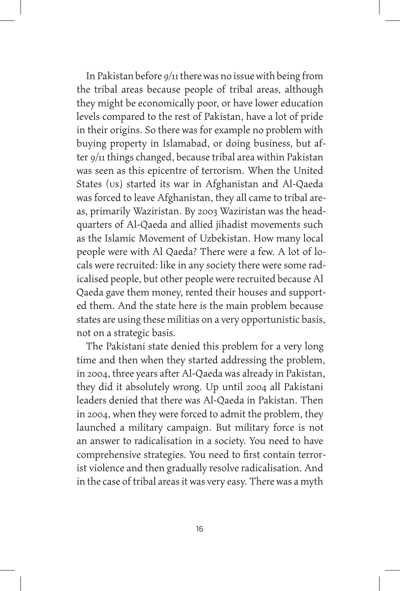In Pakistan before 9/11 there was no issue with being from the tribal areas because people of tribal areas, although they might be economically poor, or have lower education levels compared to the rest of Pakistan, have a lot of pride in their origins. So there was for example no problem with buying property in Islamabad, or doing business, but after 9/11 things changed, because tribal area within Pakistan was seen as this epicentre of terrorism. When the United States (US) started its war in Afghanistan and Al-Qaeda was forced to leave Afghanistan, they all came to tribal areas, primarily Waziristan. By 2003 Waziristan was the headquarters of Al-Qaeda and allied jihadist movements such as the Islamic Movement of Uzbekistan. How many local people were with Al Qaeda? There were a few. A lot of locals were recruited: like in any society there were some radicalised people, but other people were recruited because Al Qaeda gave them money, rented their houses and supported them. And the state here is the main problem because states are using these militias on a very opportunistic basis, not on a strategic basis.

The Pakistani state denied this problem for a very long time and then when they started addressing the problem, in 2004, three years after Al-Qaeda was already in Pakistan, they did it absolutely wrong. Up until 2004 all Pakistani leaders denied that there was Al-Qaeda in Pakistan. Then in 2004, when they were forced to admit the problem, they launched a military campaign. But military force is not an answer to radicalisation in a society. You need to have comprehensive strategies. You need to first contain terrorist violence and then gradually resolve radicalisation. And in the case of tribal areas it was very easy. There was a myth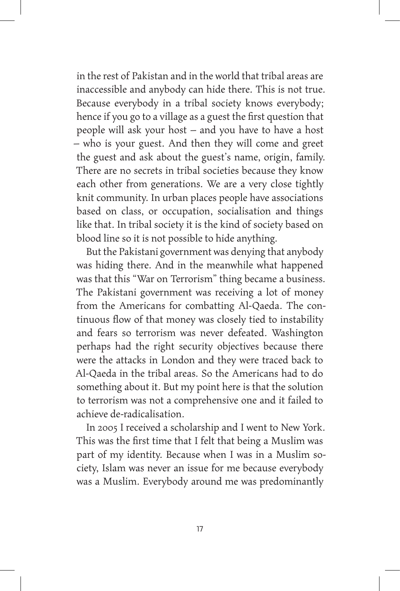in the rest of Pakistan and in the world that tribal areas are inaccessible and anybody can hide there. This is not true. Because everybody in a tribal society knows everybody; hence if you go to a village as a guest the first question that people will ask your host – and you have to have a host – who is your guest. And then they will come and greet the guest and ask about the guest's name, origin, family. There are no secrets in tribal societies because they know each other from generations. We are a very close tightly knit community. In urban places people have associations based on class, or occupation, socialisation and things like that. In tribal society it is the kind of society based on blood line so it is not possible to hide anything.

But the Pakistani government was denying that anybody was hiding there. And in the meanwhile what happened was that this "War on Terrorism" thing became a business. The Pakistani government was receiving a lot of money from the Americans for combatting Al-Qaeda. The continuous flow of that money was closely tied to instability and fears so terrorism was never defeated. Washington perhaps had the right security objectives because there were the attacks in London and they were traced back to Al-Qaeda in the tribal areas. So the Americans had to do something about it. But my point here is that the solution to terrorism was not a comprehensive one and it failed to achieve de-radicalisation.

In 2005 I received a scholarship and I went to New York. This was the first time that I felt that being a Muslim was part of my identity. Because when I was in a Muslim society, Islam was never an issue for me because everybody was a Muslim. Everybody around me was predominantly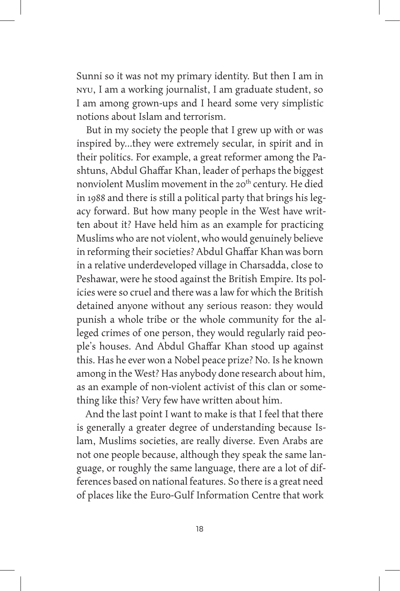Sunni so it was not my primary identity. But then I am in NYU, I am a working journalist, I am graduate student, so I am among grown-ups and I heard some very simplistic notions about Islam and terrorism.

But in my society the people that I grew up with or was inspired by…they were extremely secular, in spirit and in their politics. For example, a great reformer among the Pashtuns, Abdul Ghaffar Khan, leader of perhaps the biggest nonviolent Muslim movement in the 20<sup>th</sup> century. He died in 1988 and there is still a political party that brings his legacy forward. But how many people in the West have written about it? Have held him as an example for practicing Muslims who are not violent, who would genuinely believe in reforming their societies? Abdul Ghaffar Khan was born in a relative underdeveloped village in Charsadda, close to Peshawar, were he stood against the British Empire. Its policies were so cruel and there was a law for which the British detained anyone without any serious reason: they would punish a whole tribe or the whole community for the alleged crimes of one person, they would regularly raid people's houses. And Abdul Ghaffar Khan stood up against this. Has he ever won a Nobel peace prize? No. Is he known among in the West? Has anybody done research about him, as an example of non-violent activist of this clan or something like this? Very few have written about him.

And the last point I want to make is that I feel that there is generally a greater degree of understanding because Islam, Muslims societies, are really diverse. Even Arabs are not one people because, although they speak the same language, or roughly the same language, there are a lot of differences based on national features. So there is a great need of places like the Euro-Gulf Information Centre that work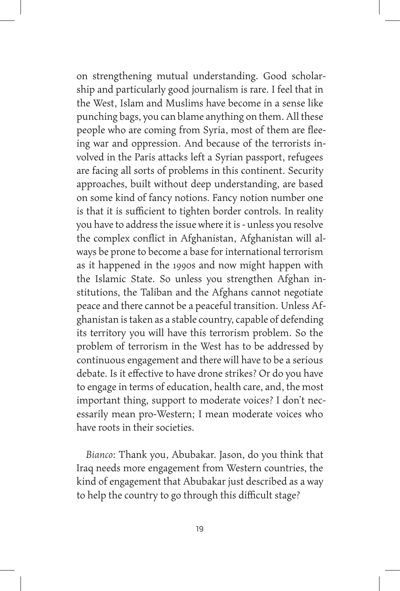on strengthening mutual understanding. Good scholarship and particularly good journalism is rare. I feel that in the West, Islam and Muslims have become in a sense like punching bags, you can blame anything on them. All these people who are coming from Syria, most of them are fleeing war and oppression. And because of the terrorists involved in the Paris attacks left a Syrian passport, refugees are facing all sorts of problems in this continent. Security approaches, built without deep understanding, are based on some kind of fancy notions. Fancy notion number one is that it is sufficient to tighten border controls. In reality you have to address the issue where it is - unless you resolve the complex conflict in Afghanistan, Afghanistan will always be prone to become a base for international terrorism as it happened in the 1990s and now might happen with the Islamic State. So unless you strengthen Afghan institutions, the Taliban and the Afghans cannot negotiate peace and there cannot be a peaceful transition. Unless Afghanistan is taken as a stable country, capable of defending its territory you will have this terrorism problem. So the problem of terrorism in the West has to be addressed by continuous engagement and there will have to be a serious debate. Is it effective to have drone strikes? Or do you have to engage in terms of education, health care, and, the most important thing, support to moderate voices? I don't necessarily mean pro-Western; I mean moderate voices who have roots in their societies.

*Bianco*: Thank you, Abubakar. Jason, do you think that Iraq needs more engagement from Western countries, the kind of engagement that Abubakar just described as a way to help the country to go through this difficult stage?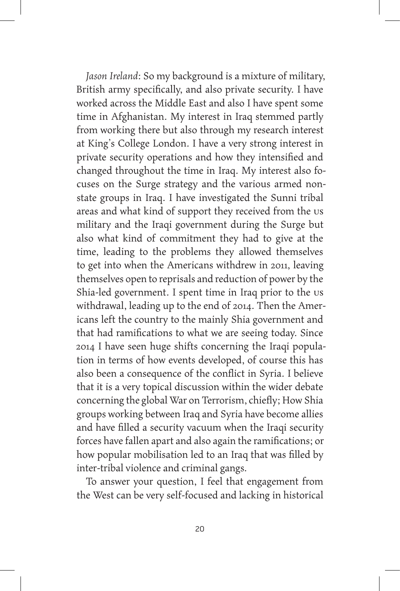*Jason Ireland*: So my background is a mixture of military, British army specifically, and also private security. I have worked across the Middle East and also I have spent some time in Afghanistan. My interest in Iraq stemmed partly from working there but also through my research interest at King's College London. I have a very strong interest in private security operations and how they intensified and changed throughout the time in Iraq. My interest also focuses on the Surge strategy and the various armed nonstate groups in Iraq. I have investigated the Sunni tribal areas and what kind of support they received from the us military and the Iraqi government during the Surge but also what kind of commitment they had to give at the time, leading to the problems they allowed themselves to get into when the Americans withdrew in 2011, leaving themselves open to reprisals and reduction of power by the Shia-led government. I spent time in Iraq prior to the us withdrawal, leading up to the end of 2014. Then the Americans left the country to the mainly Shia government and that had ramifications to what we are seeing today. Since 2014 I have seen huge shifts concerning the Iraqi population in terms of how events developed, of course this has also been a consequence of the conflict in Syria. I believe that it is a very topical discussion within the wider debate concerning the global War on Terrorism, chiefly; How Shia groups working between Iraq and Syria have become allies and have filled a security vacuum when the Iraqi security forces have fallen apart and also again the ramifications; or how popular mobilisation led to an Iraq that was filled by inter-tribal violence and criminal gangs.

To answer your question, I feel that engagement from the West can be very self-focused and lacking in historical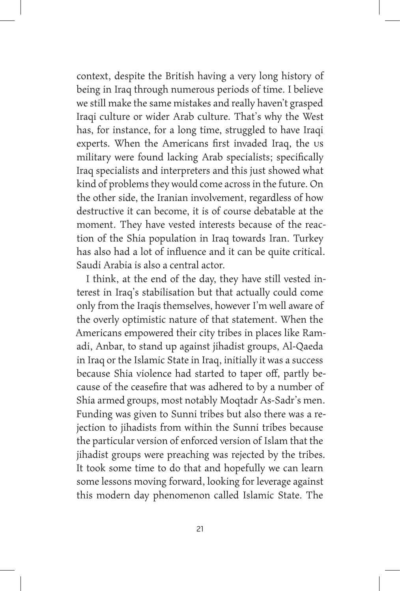context, despite the British having a very long history of being in Iraq through numerous periods of time. I believe we still make the same mistakes and really haven't grasped Iraqi culture or wider Arab culture. That's why the West has, for instance, for a long time, struggled to have Iraqi experts. When the Americans first invaded Iraq, the us military were found lacking Arab specialists; specifically Iraq specialists and interpreters and this just showed what kind of problems they would come across in the future. On the other side, the Iranian involvement, regardless of how destructive it can become, it is of course debatable at the moment. They have vested interests because of the reaction of the Shia population in Iraq towards Iran. Turkey has also had a lot of influence and it can be quite critical. Saudi Arabia is also a central actor.

I think, at the end of the day, they have still vested interest in Iraq's stabilisation but that actually could come only from the Iraqis themselves, however I'm well aware of the overly optimistic nature of that statement. When the Americans empowered their city tribes in places like Ramadi, Anbar, to stand up against jihadist groups, Al-Qaeda in Iraq or the Islamic State in Iraq, initially it was a success because Shia violence had started to taper off, partly because of the ceasefire that was adhered to by a number of Shia armed groups, most notably Moqtadr As-Sadr's men. Funding was given to Sunni tribes but also there was a rejection to jihadists from within the Sunni tribes because the particular version of enforced version of Islam that the jihadist groups were preaching was rejected by the tribes. It took some time to do that and hopefully we can learn some lessons moving forward, looking for leverage against this modern day phenomenon called Islamic State. The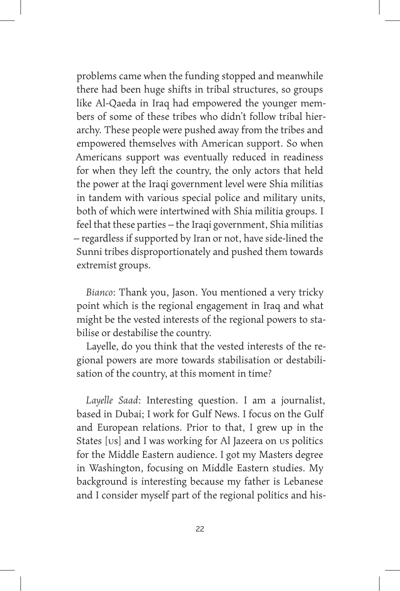problems came when the funding stopped and meanwhile there had been huge shifts in tribal structures, so groups like Al-Qaeda in Iraq had empowered the younger members of some of these tribes who didn't follow tribal hierarchy. These people were pushed away from the tribes and empowered themselves with American support. So when Americans support was eventually reduced in readiness for when they left the country, the only actors that held the power at the Iraqi government level were Shia militias in tandem with various special police and military units, both of which were intertwined with Shia militia groups. I feel that these parties – the Iraqi government, Shia militias – regardless if supported by Iran or not, have side-lined the Sunni tribes disproportionately and pushed them towards extremist groups.

*Bianco*: Thank you, Jason. You mentioned a very tricky point which is the regional engagement in Iraq and what might be the vested interests of the regional powers to stabilise or destabilise the country.

Layelle, do you think that the vested interests of the regional powers are more towards stabilisation or destabilisation of the country, at this moment in time?

*Layelle Saad*: Interesting question. I am a journalist, based in Dubai; I work for Gulf News. I focus on the Gulf and European relations. Prior to that, I grew up in the States [US] and I was working for Al Jazeera on US politics for the Middle Eastern audience. I got my Masters degree in Washington, focusing on Middle Eastern studies. My background is interesting because my father is Lebanese and I consider myself part of the regional politics and his-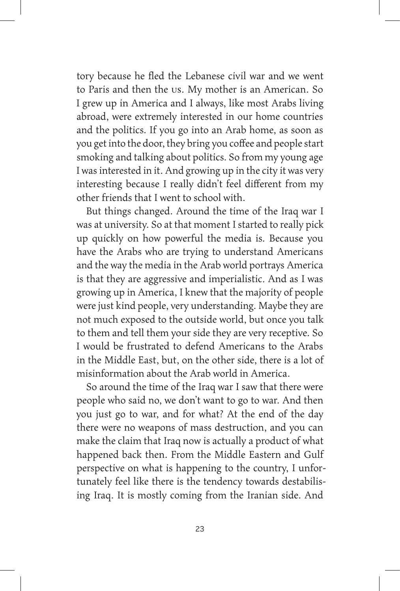tory because he fled the Lebanese civil war and we went to Paris and then the US. My mother is an American. So I grew up in America and I always, like most Arabs living abroad, were extremely interested in our home countries and the politics. If you go into an Arab home, as soon as you get into the door, they bring you coffee and people start smoking and talking about politics. So from my young age I was interested in it. And growing up in the city it was very interesting because I really didn't feel different from my other friends that I went to school with.

But things changed. Around the time of the Iraq war I was at university. So at that moment I started to really pick up quickly on how powerful the media is. Because you have the Arabs who are trying to understand Americans and the way the media in the Arab world portrays America is that they are aggressive and imperialistic*.* And as I was growing up in America, I knew that the majority of people were just kind people, very understanding. Maybe they are not much exposed to the outside world, but once you talk to them and tell them your side they are very receptive. So I would be frustrated to defend Americans to the Arabs in the Middle East, but, on the other side, there is a lot of misinformation about the Arab world in America.

So around the time of the Iraq war I saw that there were people who said no, we don't want to go to war. And then you just go to war, and for what? At the end of the day there were no weapons of mass destruction, and you can make the claim that Iraq now is actually a product of what happened back then. From the Middle Eastern and Gulf perspective on what is happening to the country, I unfortunately feel like there is the tendency towards destabilising Iraq. It is mostly coming from the Iranian side. And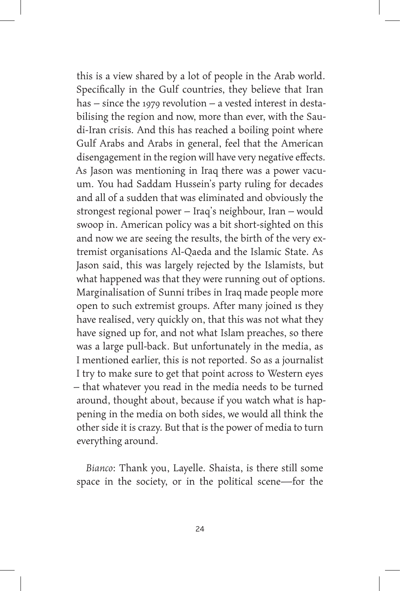this is a view shared by a lot of people in the Arab world. Specifically in the Gulf countries, they believe that Iran has – since the 1979 revolution – a vested interest in destabilising the region and now, more than ever, with the Saudi-Iran crisis. And this has reached a boiling point where Gulf Arabs and Arabs in general, feel that the American disengagement in the region will have very negative effects. As Jason was mentioning in Iraq there was a power vacuum. You had Saddam Hussein's party ruling for decades and all of a sudden that was eliminated and obviously the strongest regional power – Iraq's neighbour, Iran – would swoop in. American policy was a bit short-sighted on this and now we are seeing the results, the birth of the very extremist organisations Al-Qaeda and the Islamic State. As Jason said, this was largely rejected by the Islamists, but what happened was that they were running out of options. Marginalisation of Sunni tribes in Iraq made people more open to such extremist groups. After many joined IS they have realised, very quickly on, that this was not what they have signed up for, and not what Islam preaches, so there was a large pull-back. But unfortunately in the media, as I mentioned earlier, this is not reported. So as a journalist I try to make sure to get that point across to Western eyes – that whatever you read in the media needs to be turned around, thought about, because if you watch what is happening in the media on both sides, we would all think the other side it is crazy. But that is the power of media to turn everything around.

*Bianco*: Thank you, Layelle. Shaista, is there still some space in the society, or in the political scene—for the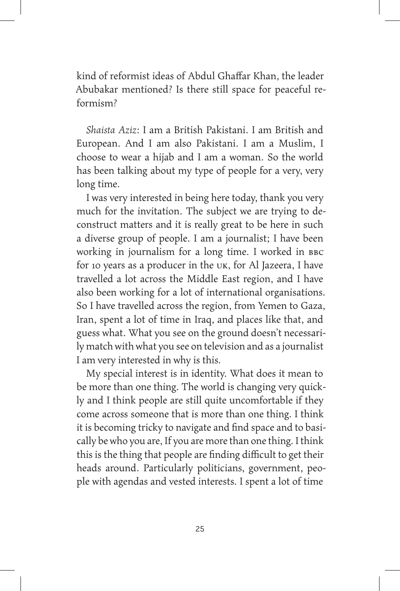kind of reformist ideas of Abdul Ghaffar Khan, the leader Abubakar mentioned? Is there still space for peaceful reformism?

*Shaista Aziz*: I am a British Pakistani. I am British and European. And I am also Pakistani. I am a Muslim, I choose to wear a hijab and I am a woman. So the world has been talking about my type of people for a very, very long time.

I was very interested in being here today, thank you very much for the invitation. The subject we are trying to deconstruct matters and it is really great to be here in such a diverse group of people. I am a journalist; I have been working in journalism for a long time. I worked in BBC for 10 years as a producer in the UK, for Al Jazeera, I have travelled a lot across the Middle East region, and I have also been working for a lot of international organisations. So I have travelled across the region, from Yemen to Gaza, Iran, spent a lot of time in Iraq, and places like that, and guess what. What you see on the ground doesn't necessarily match with what you see on television and as a journalist I am very interested in why is this.

My special interest is in identity. What does it mean to be more than one thing. The world is changing very quickly and I think people are still quite uncomfortable if they come across someone that is more than one thing. I think it is becoming tricky to navigate and find space and to basically be who you are, If you are more than one thing. I think this is the thing that people are finding difficult to get their heads around. Particularly politicians, government, people with agendas and vested interests. I spent a lot of time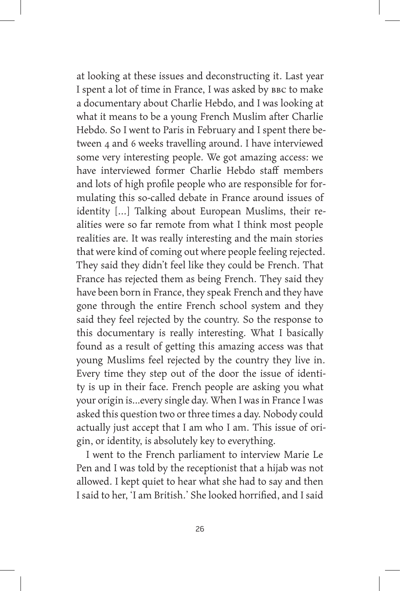at looking at these issues and deconstructing it. Last year I spent a lot of time in France, I was asked by BBC to make a documentary about Charlie Hebdo, and I was looking at what it means to be a young French Muslim after Charlie Hebdo. So I went to Paris in February and I spent there between 4 and 6 weeks travelling around. I have interviewed some very interesting people. We got amazing access: we have interviewed former Charlie Hebdo staff members and lots of high profile people who are responsible for formulating this so-called debate in France around issues of identity [...] Talking about European Muslims, their realities were so far remote from what I think most people realities are. It was really interesting and the main stories that were kind of coming out where people feeling rejected. They said they didn't feel like they could be French. That France has rejected them as being French. They said they have been born in France, they speak French and they have gone through the entire French school system and they said they feel rejected by the country. So the response to this documentary is really interesting. What I basically found as a result of getting this amazing access was that young Muslims feel rejected by the country they live in. Every time they step out of the door the issue of identity is up in their face. French people are asking you what your origin is…every single day. When I was in France I was asked this question two or three times a day. Nobody could actually just accept that I am who I am. This issue of origin, or identity, is absolutely key to everything.

I went to the French parliament to interview Marie Le Pen and I was told by the receptionist that a hijab was not allowed. I kept quiet to hear what she had to say and then I said to her, 'I am British.' She looked horrified, and I said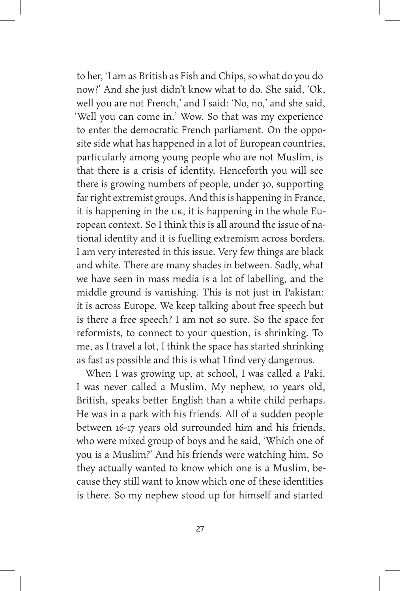to her, 'I am as British as Fish and Chips, so what do you do now?' And she just didn't know what to do. She said, 'Ok, well you are not French,' and I said: 'No, no,' and she said, 'Well you can come in.' Wow. So that was my experience to enter the democratic French parliament. On the opposite side what has happened in a lot of European countries, particularly among young people who are not Muslim, is that there is a crisis of identity. Henceforth you will see there is growing numbers of people, under 30, supporting far right extremist groups. And this is happening in France, it is happening in the UK, it is happening in the whole European context. So I think this is all around the issue of national identity and it is fuelling extremism across borders. I am very interested in this issue. Very few things are black and white. There are many shades in between. Sadly, what we have seen in mass media is a lot of labelling, and the middle ground is vanishing. This is not just in Pakistan: it is across Europe. We keep talking about free speech but is there a free speech? I am not so sure. So the space for reformists, to connect to your question, is shrinking. To me, as I travel a lot, I think the space has started shrinking as fast as possible and this is what I find very dangerous.

When I was growing up, at school, I was called a Paki. I was never called a Muslim. My nephew, 10 years old, British, speaks better English than a white child perhaps. He was in a park with his friends. All of a sudden people between 16-17 years old surrounded him and his friends, who were mixed group of boys and he said, 'Which one of you is a Muslim?' And his friends were watching him. So they actually wanted to know which one is a Muslim, because they still want to know which one of these identities is there. So my nephew stood up for himself and started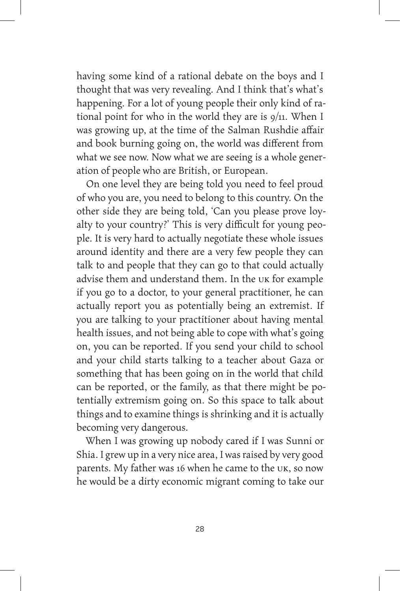having some kind of a rational debate on the boys and I thought that was very revealing. And I think that's what's happening. For a lot of young people their only kind of rational point for who in the world they are is 9/11. When I was growing up, at the time of the Salman Rushdie affair and book burning going on, the world was different from what we see now. Now what we are seeing is a whole generation of people who are British, or European.

On one level they are being told you need to feel proud of who you are, you need to belong to this country. On the other side they are being told, 'Can you please prove loyalty to your country?' This is very difficult for young people. It is very hard to actually negotiate these whole issues around identity and there are a very few people they can talk to and people that they can go to that could actually advise them and understand them. In the UK for example if you go to a doctor, to your general practitioner, he can actually report you as potentially being an extremist. If you are talking to your practitioner about having mental health issues, and not being able to cope with what's going on, you can be reported. If you send your child to school and your child starts talking to a teacher about Gaza or something that has been going on in the world that child can be reported, or the family, as that there might be potentially extremism going on. So this space to talk about things and to examine things is shrinking and it is actually becoming very dangerous.

When I was growing up nobody cared if I was Sunni or Shia. I grew up in a very nice area, I was raised by very good parents. My father was 16 when he came to the UK, so now he would be a dirty economic migrant coming to take our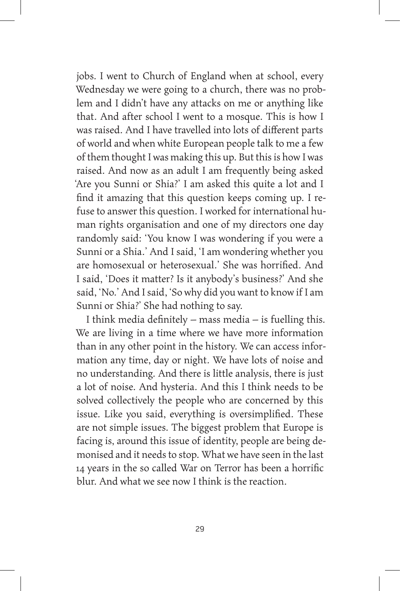jobs. I went to Church of England when at school, every Wednesday we were going to a church, there was no problem and I didn't have any attacks on me or anything like that. And after school I went to a mosque. This is how I was raised. And I have travelled into lots of different parts of world and when white European people talk to me a few of them thought I was making this up. But this is how I was raised. And now as an adult I am frequently being asked 'Are you Sunni or Shia?' I am asked this quite a lot and I find it amazing that this question keeps coming up. I refuse to answer this question. I worked for international human rights organisation and one of my directors one day randomly said: 'You know I was wondering if you were a Sunni or a Shia.' And I said, 'I am wondering whether you are homosexual or heterosexual.' She was horrified. And I said, 'Does it matter? Is it anybody's business?' And she said, 'No.' And I said, 'So why did you want to know if I am Sunni or Shia?' She had nothing to say.

I think media definitely – mass media – is fuelling this. We are living in a time where we have more information than in any other point in the history. We can access information any time, day or night. We have lots of noise and no understanding. And there is little analysis, there is just a lot of noise. And hysteria. And this I think needs to be solved collectively the people who are concerned by this issue. Like you said, everything is oversimplified. These are not simple issues. The biggest problem that Europe is facing is, around this issue of identity, people are being demonised and it needs to stop. What we have seen in the last 14 years in the so called War on Terror has been a horrific blur. And what we see now I think is the reaction.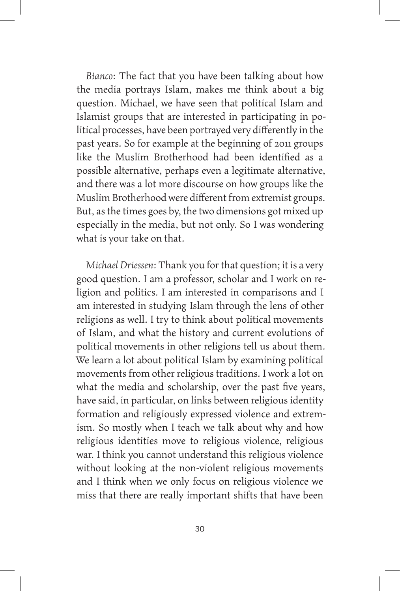*Bianco*: The fact that you have been talking about how the media portrays Islam, makes me think about a big question. Michael, we have seen that political Islam and Islamist groups that are interested in participating in political processes, have been portrayed very differently in the past years. So for example at the beginning of 2011 groups like the Muslim Brotherhood had been identified as a possible alternative, perhaps even a legitimate alternative, and there was a lot more discourse on how groups like the Muslim Brotherhood were different from extremist groups. But, as the times goes by, the two dimensions got mixed up especially in the media, but not only. So I was wondering what is your take on that.

*Michael Driessen*: Thank you for that question; it is a very good question. I am a professor, scholar and I work on religion and politics. I am interested in comparisons and I am interested in studying Islam through the lens of other religions as well. I try to think about political movements of Islam, and what the history and current evolutions of political movements in other religions tell us about them. We learn a lot about political Islam by examining political movements from other religious traditions. I work a lot on what the media and scholarship, over the past five years, have said, in particular, on links between religious identity formation and religiously expressed violence and extremism. So mostly when I teach we talk about why and how religious identities move to religious violence, religious war. I think you cannot understand this religious violence without looking at the non-violent religious movements and I think when we only focus on religious violence we miss that there are really important shifts that have been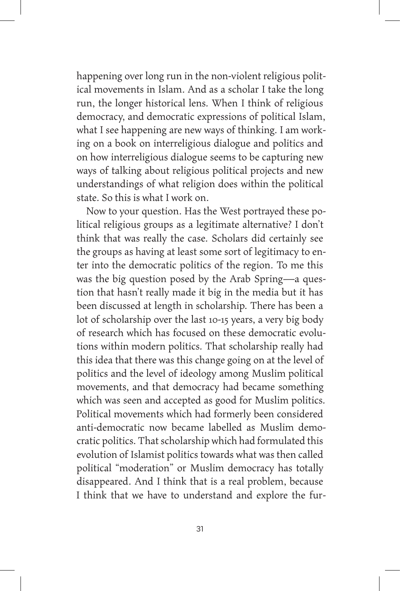happening over long run in the non-violent religious political movements in Islam. And as a scholar I take the long run, the longer historical lens. When I think of religious democracy, and democratic expressions of political Islam, what I see happening are new ways of thinking. I am working on a book on interreligious dialogue and politics and on how interreligious dialogue seems to be capturing new ways of talking about religious political projects and new understandings of what religion does within the political state. So this is what I work on.

Now to your question. Has the West portrayed these political religious groups as a legitimate alternative? I don't think that was really the case. Scholars did certainly see the groups as having at least some sort of legitimacy to enter into the democratic politics of the region. To me this was the big question posed by the Arab Spring—a question that hasn't really made it big in the media but it has been discussed at length in scholarship. There has been a lot of scholarship over the last 10-15 years, a very big body of research which has focused on these democratic evolutions within modern politics. That scholarship really had this idea that there was this change going on at the level of politics and the level of ideology among Muslim political movements, and that democracy had became something which was seen and accepted as good for Muslim politics. Political movements which had formerly been considered anti-democratic now became labelled as Muslim democratic politics. That scholarship which had formulated this evolution of Islamist politics towards what was then called political "moderation" or Muslim democracy has totally disappeared. And I think that is a real problem, because I think that we have to understand and explore the fur-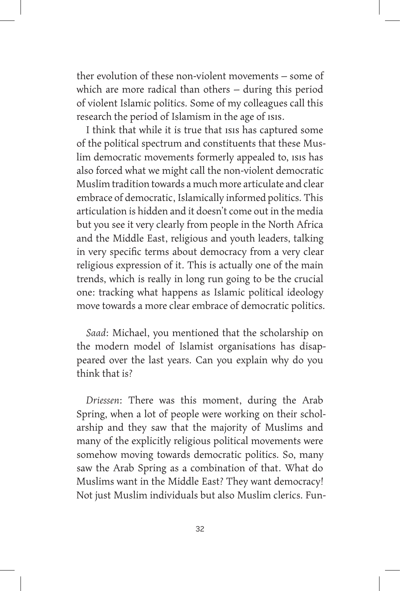ther evolution of these non-violent movements – some of which are more radical than others – during this period of violent Islamic politics. Some of my colleagues call this research the period of Islamism in the age of ISIS.

I think that while it is true that ISIS has captured some of the political spectrum and constituents that these Muslim democratic movements formerly appealed to, ISIS has also forced what we might call the non-violent democratic Muslim tradition towards a much more articulate and clear embrace of democratic, Islamically informed politics. This articulation is hidden and it doesn't come out in the media but you see it very clearly from people in the North Africa and the Middle East, religious and youth leaders, talking in very specific terms about democracy from a very clear religious expression of it. This is actually one of the main trends, which is really in long run going to be the crucial one: tracking what happens as Islamic political ideology move towards a more clear embrace of democratic politics.

*Saad*: Michael, you mentioned that the scholarship on the modern model of Islamist organisations has disappeared over the last years. Can you explain why do you think that is?

*Driessen*: There was this moment, during the Arab Spring, when a lot of people were working on their scholarship and they saw that the majority of Muslims and many of the explicitly religious political movements were somehow moving towards democratic politics. So, many saw the Arab Spring as a combination of that. What do Muslims want in the Middle East? They want democracy! Not just Muslim individuals but also Muslim clerics. Fun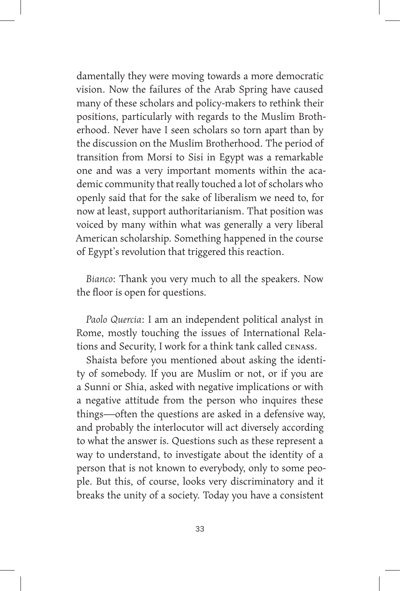damentally they were moving towards a more democratic vision. Now the failures of the Arab Spring have caused many of these scholars and policy-makers to rethink their positions, particularly with regards to the Muslim Brotherhood. Never have I seen scholars so torn apart than by the discussion on the Muslim Brotherhood. The period of transition from Morsi to Sisi in Egypt was a remarkable one and was a very important moments within the academic community that really touched a lot of scholars who openly said that for the sake of liberalism we need to, for now at least, support authoritarianism. That position was voiced by many within what was generally a very liberal American scholarship. Something happened in the course of Egypt's revolution that triggered this reaction.

*Bianco*: Thank you very much to all the speakers. Now the floor is open for questions.

*Paolo Quercia*: I am an independent political analyst in Rome, mostly touching the issues of International Relations and Security, I work for a think tank called CENASS.

Shaista before you mentioned about asking the identity of somebody. If you are Muslim or not, or if you are a Sunni or Shia, asked with negative implications or with a negative attitude from the person who inquires these things—often the questions are asked in a defensive way, and probably the interlocutor will act diversely according to what the answer is. Questions such as these represent a way to understand, to investigate about the identity of a person that is not known to everybody, only to some people. But this, of course, looks very discriminatory and it breaks the unity of a society. Today you have a consistent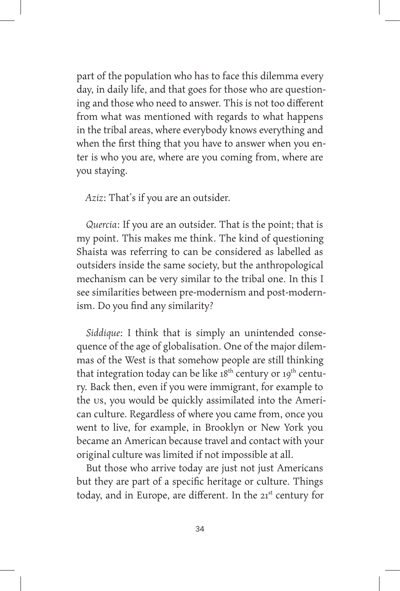part of the population who has to face this dilemma every day, in daily life, and that goes for those who are questioning and those who need to answer. This is not too different from what was mentioned with regards to what happens in the tribal areas, where everybody knows everything and when the first thing that you have to answer when you enter is who you are, where are you coming from, where are you staying.

*Aziz*: That's if you are an outsider.

*Quercia*: If you are an outsider. That is the point; that is my point. This makes me think. The kind of questioning Shaista was referring to can be considered as labelled as outsiders inside the same society, but the anthropological mechanism can be very similar to the tribal one. In this I see similarities between pre-modernism and post-modernism. Do you find any similarity?

*Siddique*: I think that is simply an unintended consequence of the age of globalisation. One of the major dilemmas of the West is that somehow people are still thinking that integration today can be like  $18<sup>th</sup>$  century or  $19<sup>th</sup>$  century. Back then, even if you were immigrant, for example to the US, you would be quickly assimilated into the American culture. Regardless of where you came from, once you went to live, for example, in Brooklyn or New York you became an American because travel and contact with your original culture was limited if not impossible at all.

But those who arrive today are just not just Americans but they are part of a specific heritage or culture. Things today, and in Europe, are different. In the 21<sup>st</sup> century for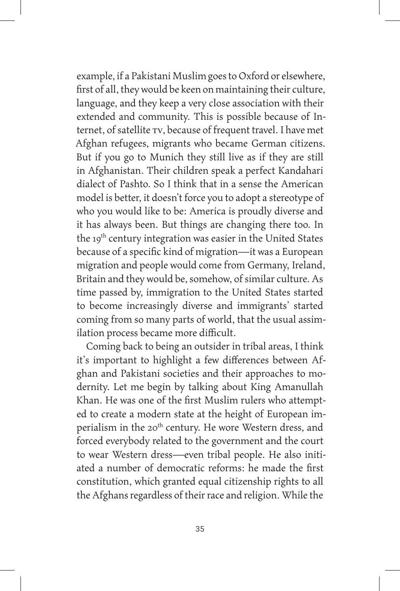example, if a Pakistani Muslim goes to Oxford or elsewhere, first of all, they would be keen on maintaining their culture, language, and they keep a very close association with their extended and community. This is possible because of Internet, of satellite TV, because of frequent travel. I have met Afghan refugees, migrants who became German citizens. But if you go to Munich they still live as if they are still in Afghanistan. Their children speak a perfect Kandahari dialect of Pashto. So I think that in a sense the American model is better, it doesn't force you to adopt a stereotype of who you would like to be: America is proudly diverse and it has always been. But things are changing there too. In the 19<sup>th</sup> century integration was easier in the United States because of a specific kind of migration—it was a European migration and people would come from Germany, Ireland, Britain and they would be, somehow, of similar culture. As time passed by, immigration to the United States started to become increasingly diverse and immigrants' started coming from so many parts of world, that the usual assimilation process became more difficult.

Coming back to being an outsider in tribal areas, I think it's important to highlight a few differences between Afghan and Pakistani societies and their approaches to modernity. Let me begin by talking about King Amanullah Khan. He was one of the first Muslim rulers who attempted to create a modern state at the height of European imperialism in the 20<sup>th</sup> century. He wore Western dress, and forced everybody related to the government and the court to wear Western dress—even tribal people. He also initiated a number of democratic reforms: he made the first constitution, which granted equal citizenship rights to all the Afghans regardless of their race and religion. While the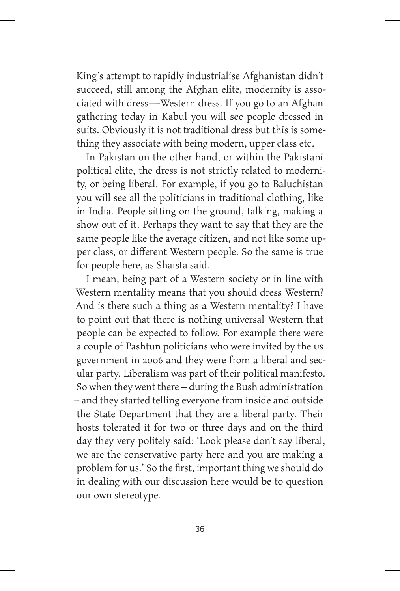King's attempt to rapidly industrialise Afghanistan didn't succeed, still among the Afghan elite, modernity is associated with dress—Western dress. If you go to an Afghan gathering today in Kabul you will see people dressed in suits. Obviously it is not traditional dress but this is something they associate with being modern, upper class etc.

In Pakistan on the other hand, or within the Pakistani political elite, the dress is not strictly related to modernity, or being liberal. For example, if you go to Baluchistan you will see all the politicians in traditional clothing, like in India. People sitting on the ground, talking, making a show out of it. Perhaps they want to say that they are the same people like the average citizen, and not like some upper class, or different Western people. So the same is true for people here, as Shaista said.

I mean, being part of a Western society or in line with Western mentality means that you should dress Western? And is there such a thing as a Western mentality? I have to point out that there is nothing universal Western that people can be expected to follow. For example there were a couple of Pashtun politicians who were invited by the us government in 2006 and they were from a liberal and secular party. Liberalism was part of their political manifesto. So when they went there – during the Bush administration – and they started telling everyone from inside and outside the State Department that they are a liberal party. Their hosts tolerated it for two or three days and on the third day they very politely said: 'Look please don't say liberal, we are the conservative party here and you are making a problem for us.' So the first, important thing we should do in dealing with our discussion here would be to question our own stereotype.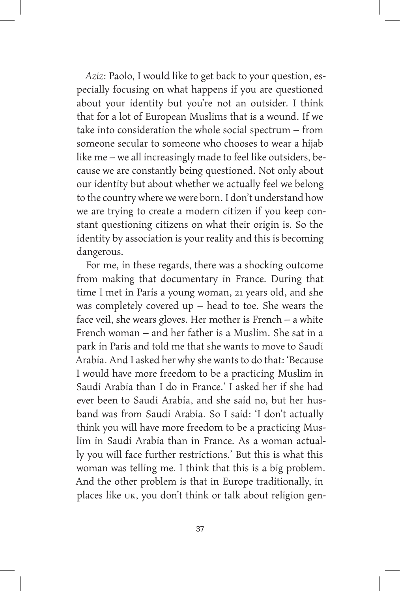*Aziz*: Paolo, I would like to get back to your question, especially focusing on what happens if you are questioned about your identity but you're not an outsider. I think that for a lot of European Muslims that is a wound. If we take into consideration the whole social spectrum – from someone secular to someone who chooses to wear a hijab like me – we all increasingly made to feel like outsiders, because we are constantly being questioned. Not only about our identity but about whether we actually feel we belong to the country where we were born. I don't understand how we are trying to create a modern citizen if you keep constant questioning citizens on what their origin is. So the identity by association is your reality and this is becoming dangerous.

For me, in these regards, there was a shocking outcome from making that documentary in France. During that time I met in Paris a young woman, 21 years old, and she was completely covered up – head to toe. She wears the face veil, she wears gloves. Her mother is French – a white French woman – and her father is a Muslim. She sat in a park in Paris and told me that she wants to move to Saudi Arabia. And I asked her why she wants to do that: 'Because I would have more freedom to be a practicing Muslim in Saudi Arabia than I do in France.' I asked her if she had ever been to Saudi Arabia, and she said no, but her husband was from Saudi Arabia. So I said: 'I don't actually think you will have more freedom to be a practicing Muslim in Saudi Arabia than in France. As a woman actually you will face further restrictions.' But this is what this woman was telling me. I think that this is a big problem. And the other problem is that in Europe traditionally, in places like UK, you don't think or talk about religion gen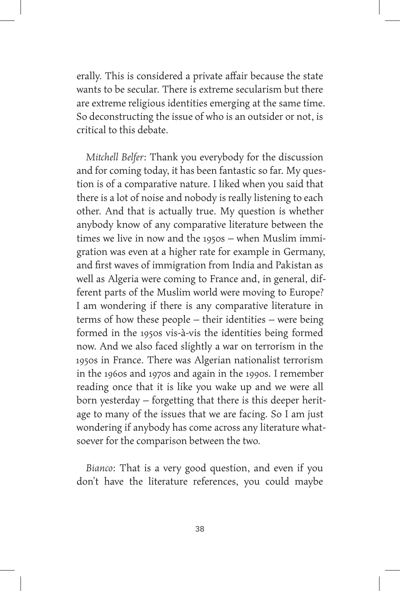erally. This is considered a private affair because the state wants to be secular. There is extreme secularism but there are extreme religious identities emerging at the same time. So deconstructing the issue of who is an outsider or not, is critical to this debate.

*Mitchell Belfer*: Thank you everybody for the discussion and for coming today, it has been fantastic so far. My question is of a comparative nature. I liked when you said that there is a lot of noise and nobody is really listening to each other. And that is actually true. My question is whether anybody know of any comparative literature between the times we live in now and the 1950s – when Muslim immigration was even at a higher rate for example in Germany, and first waves of immigration from India and Pakistan as well as Algeria were coming to France and, in general, different parts of the Muslim world were moving to Europe? I am wondering if there is any comparative literature in terms of how these people – their identities – were being formed in the 1950s vis-à-vis the identities being formed now. And we also faced slightly a war on terrorism in the 1950s in France. There was Algerian nationalist terrorism in the 1960s and 1970s and again in the 1990s. I remember reading once that it is like you wake up and we were all born yesterday – forgetting that there is this deeper heritage to many of the issues that we are facing. So I am just wondering if anybody has come across any literature whatsoever for the comparison between the two.

*Bianco*: That is a very good question, and even if you don't have the literature references, you could maybe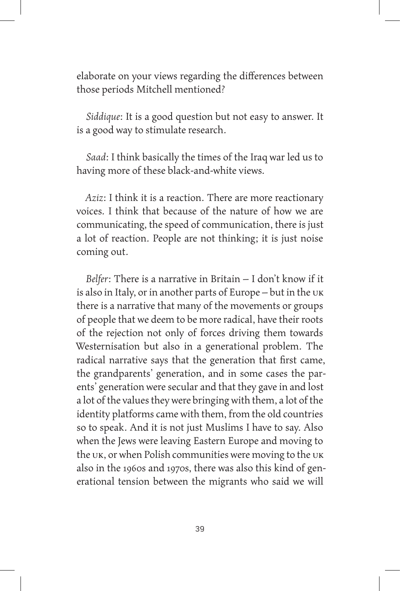elaborate on your views regarding the differences between those periods Mitchell mentioned?

*Siddique*: It is a good question but not easy to answer. It is a good way to stimulate research.

*Saad*: I think basically the times of the Iraq war led us to having more of these black-and-white views.

*Aziz*: I think it is a reaction. There are more reactionary voices. I think that because of the nature of how we are communicating, the speed of communication, there is just a lot of reaction. People are not thinking; it is just noise coming out.

*Belfer*: There is a narrative in Britain – I don't know if it is also in Italy, or in another parts of Europe – but in the UK there is a narrative that many of the movements or groups of people that we deem to be more radical, have their roots of the rejection not only of forces driving them towards Westernisation but also in a generational problem. The radical narrative says that the generation that first came, the grandparents' generation, and in some cases the parents' generation were secular and that they gave in and lost a lot of the values they were bringing with them, a lot of the identity platforms came with them, from the old countries so to speak. And it is not just Muslims I have to say. Also when the Jews were leaving Eastern Europe and moving to the UK, or when Polish communities were moving to the UK also in the 1960s and 1970s, there was also this kind of generational tension between the migrants who said we will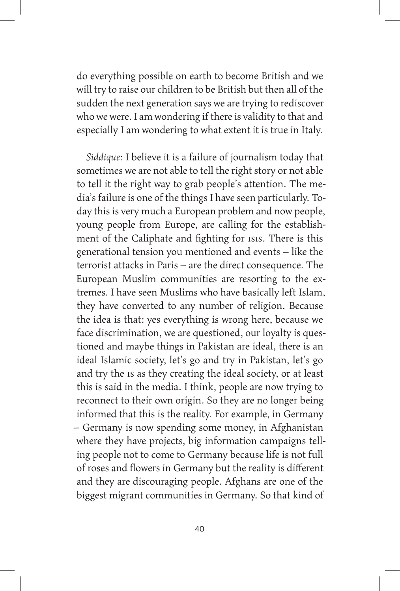do everything possible on earth to become British and we will try to raise our children to be British but then all of the sudden the next generation says we are trying to rediscover who we were. I am wondering if there is validity to that and especially I am wondering to what extent it is true in Italy.

*Siddique*: I believe it is a failure of journalism today that sometimes we are not able to tell the right story or not able to tell it the right way to grab people's attention. The media's failure is one of the things I have seen particularly. Today this is very much a European problem and now people, young people from Europe, are calling for the establishment of the Caliphate and fighting for ISIS. There is this generational tension you mentioned and events – like the terrorist attacks in Paris – are the direct consequence. The European Muslim communities are resorting to the extremes. I have seen Muslims who have basically left Islam, they have converted to any number of religion. Because the idea is that: yes everything is wrong here, because we face discrimination, we are questioned, our loyalty is questioned and maybe things in Pakistan are ideal, there is an ideal Islamic society, let's go and try in Pakistan, let's go and try the IS as they creating the ideal society, or at least this is said in the media. I think, people are now trying to reconnect to their own origin. So they are no longer being informed that this is the reality. For example, in Germany – Germany is now spending some money, in Afghanistan where they have projects, big information campaigns telling people not to come to Germany because life is not full of roses and flowers in Germany but the reality is different and they are discouraging people. Afghans are one of the biggest migrant communities in Germany. So that kind of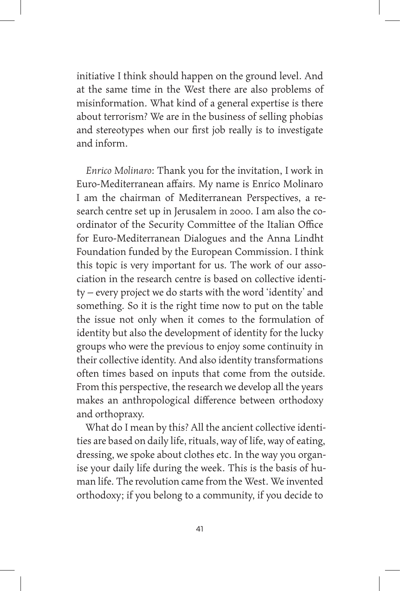initiative I think should happen on the ground level. And at the same time in the West there are also problems of misinformation. What kind of a general expertise is there about terrorism? We are in the business of selling phobias and stereotypes when our first job really is to investigate and inform.

*Enrico Molinaro*: Thank you for the invitation, I work in Euro-Mediterranean affairs. My name is Enrico Molinaro I am the chairman of Mediterranean Perspectives, a research centre set up in Jerusalem in 2000. I am also the coordinator of the Security Committee of the Italian Office for Euro-Mediterranean Dialogues and the Anna Lindht Foundation funded by the European Commission. I think this topic is very important for us. The work of our association in the research centre is based on collective identity – every project we do starts with the word 'identity' and something. So it is the right time now to put on the table the issue not only when it comes to the formulation of identity but also the development of identity for the lucky groups who were the previous to enjoy some continuity in their collective identity. And also identity transformations often times based on inputs that come from the outside. From this perspective, the research we develop all the years makes an anthropological difference between orthodoxy and orthopraxy.

What do I mean by this? All the ancient collective identities are based on daily life, rituals, way of life, way of eating, dressing, we spoke about clothes etc. In the way you organise your daily life during the week. This is the basis of human life. The revolution came from the West. We invented orthodoxy; if you belong to a community, if you decide to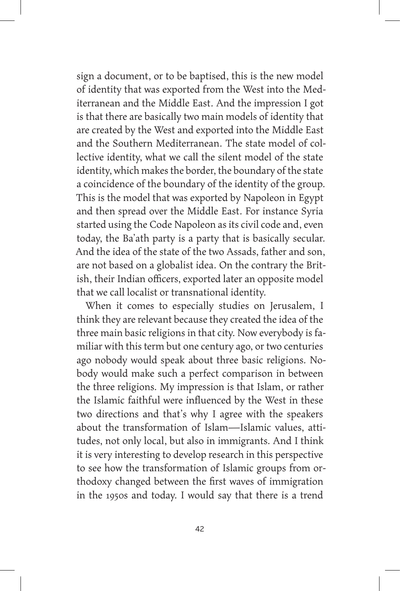sign a document, or to be baptised, this is the new model of identity that was exported from the West into the Mediterranean and the Middle East. And the impression I got is that there are basically two main models of identity that are created by the West and exported into the Middle East and the Southern Mediterranean. The state model of collective identity, what we call the silent model of the state identity, which makes the border, the boundary of the state a coincidence of the boundary of the identity of the group. This is the model that was exported by Napoleon in Egypt and then spread over the Middle East. For instance Syria started using the Code Napoleon as its civil code and, even today, the Ba'ath party is a party that is basically secular. And the idea of the state of the two Assads, father and son, are not based on a globalist idea. On the contrary the British, their Indian officers, exported later an opposite model that we call localist or transnational identity.

When it comes to especially studies on Jerusalem, I think they are relevant because they created the idea of the three main basic religions in that city. Now everybody is familiar with this term but one century ago, or two centuries ago nobody would speak about three basic religions. Nobody would make such a perfect comparison in between the three religions. My impression is that Islam, or rather the Islamic faithful were influenced by the West in these two directions and that's why I agree with the speakers about the transformation of Islam—Islamic values, attitudes, not only local, but also in immigrants. And I think it is very interesting to develop research in this perspective to see how the transformation of Islamic groups from orthodoxy changed between the first waves of immigration in the 1950s and today. I would say that there is a trend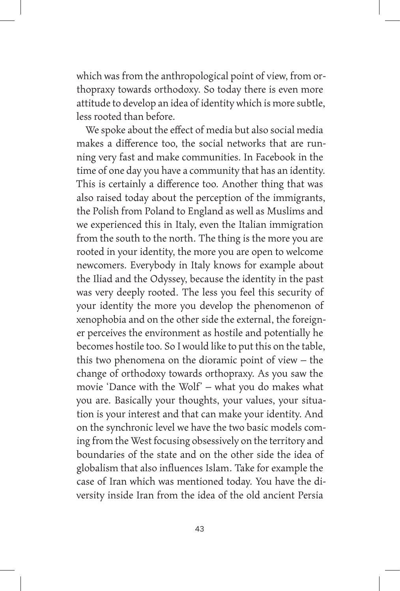which was from the anthropological point of view, from orthopraxy towards orthodoxy. So today there is even more attitude to develop an idea of identity which is more subtle, less rooted than before.

We spoke about the effect of media but also social media makes a difference too, the social networks that are running very fast and make communities. In Facebook in the time of one day you have a community that has an identity. This is certainly a difference too. Another thing that was also raised today about the perception of the immigrants, the Polish from Poland to England as well as Muslims and we experienced this in Italy, even the Italian immigration from the south to the north. The thing is the more you are rooted in your identity, the more you are open to welcome newcomers. Everybody in Italy knows for example about the Iliad and the Odyssey, because the identity in the past was very deeply rooted. The less you feel this security of your identity the more you develop the phenomenon of xenophobia and on the other side the external, the foreigner perceives the environment as hostile and potentially he becomes hostile too. So I would like to put this on the table, this two phenomena on the dioramic point of view – the change of orthodoxy towards orthopraxy. As you saw the movie 'Dance with the Wolf' – what you do makes what you are. Basically your thoughts, your values, your situation is your interest and that can make your identity. And on the synchronic level we have the two basic models coming from the West focusing obsessively on the territory and boundaries of the state and on the other side the idea of globalism that also influences Islam. Take for example the case of Iran which was mentioned today. You have the diversity inside Iran from the idea of the old ancient Persia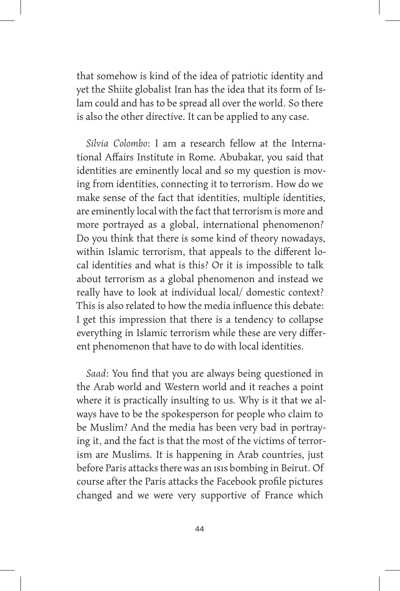that somehow is kind of the idea of patriotic identity and yet the Shiite globalist Iran has the idea that its form of Islam could and has to be spread all over the world. So there is also the other directive. It can be applied to any case.

*Silvia Colombo*: I am a research fellow at the International Affairs Institute in Rome. Abubakar, you said that identities are eminently local and so my question is moving from identities, connecting it to terrorism. How do we make sense of the fact that identities, multiple identities, are eminently local with the fact that terrorism is more and more portrayed as a global, international phenomenon? Do you think that there is some kind of theory nowadays, within Islamic terrorism, that appeals to the different local identities and what is this? Or it is impossible to talk about terrorism as a global phenomenon and instead we really have to look at individual local/ domestic context? This is also related to how the media influence this debate: I get this impression that there is a tendency to collapse everything in Islamic terrorism while these are very different phenomenon that have to do with local identities.

*Saad*: You find that you are always being questioned in the Arab world and Western world and it reaches a point where it is practically insulting to us. Why is it that we always have to be the spokesperson for people who claim to be Muslim? And the media has been very bad in portraying it, and the fact is that the most of the victims of terrorism are Muslims. It is happening in Arab countries, just before Paris attacks there was an ISIS bombing in Beirut. Of course after the Paris attacks the Facebook profile pictures changed and we were very supportive of France which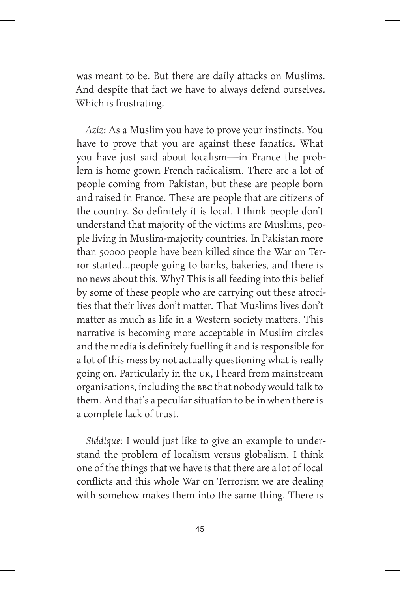was meant to be. But there are daily attacks on Muslims. And despite that fact we have to always defend ourselves. Which is frustrating.

*Aziz*: As a Muslim you have to prove your instincts. You have to prove that you are against these fanatics. What you have just said about localism—in France the problem is home grown French radicalism. There are a lot of people coming from Pakistan, but these are people born and raised in France. These are people that are citizens of the country. So definitely it is local. I think people don't understand that majority of the victims are Muslims, people living in Muslim-majority countries. In Pakistan more than 50000 people have been killed since the War on Terror started…people going to banks, bakeries, and there is no news about this. Why? This is all feeding into this belief by some of these people who are carrying out these atrocities that their lives don't matter. That Muslims lives don't matter as much as life in a Western society matters. This narrative is becoming more acceptable in Muslim circles and the media is definitely fuelling it and is responsible for a lot of this mess by not actually questioning what is really going on. Particularly in the UK, I heard from mainstream organisations, including the BBC that nobody would talk to them. And that's a peculiar situation to be in when there is a complete lack of trust.

*Siddique*: I would just like to give an example to understand the problem of localism versus globalism. I think one of the things that we have is that there are a lot of local conflicts and this whole War on Terrorism we are dealing with somehow makes them into the same thing. There is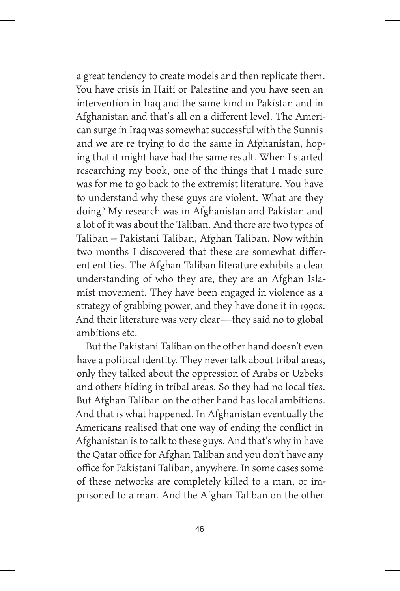a great tendency to create models and then replicate them. You have crisis in Haiti or Palestine and you have seen an intervention in Iraq and the same kind in Pakistan and in Afghanistan and that's all on a different level. The American surge in Iraq was somewhat successful with the Sunnis and we are re trying to do the same in Afghanistan, hoping that it might have had the same result. When I started researching my book, one of the things that I made sure was for me to go back to the extremist literature. You have to understand why these guys are violent. What are they doing? My research was in Afghanistan and Pakistan and a lot of it was about the Taliban. And there are two types of Taliban – Pakistani Taliban, Afghan Taliban. Now within two months I discovered that these are somewhat different entities. The Afghan Taliban literature exhibits a clear understanding of who they are, they are an Afghan Islamist movement. They have been engaged in violence as a strategy of grabbing power, and they have done it in 1990s. And their literature was very clear—they said no to global ambitions etc.

But the Pakistani Taliban on the other hand doesn't even have a political identity. They never talk about tribal areas, only they talked about the oppression of Arabs or Uzbeks and others hiding in tribal areas. So they had no local ties. But Afghan Taliban on the other hand has local ambitions. And that is what happened. In Afghanistan eventually the Americans realised that one way of ending the conflict in Afghanistan is to talk to these guys. And that's why in have the Qatar office for Afghan Taliban and you don't have any office for Pakistani Taliban, anywhere. In some cases some of these networks are completely killed to a man, or imprisoned to a man. And the Afghan Taliban on the other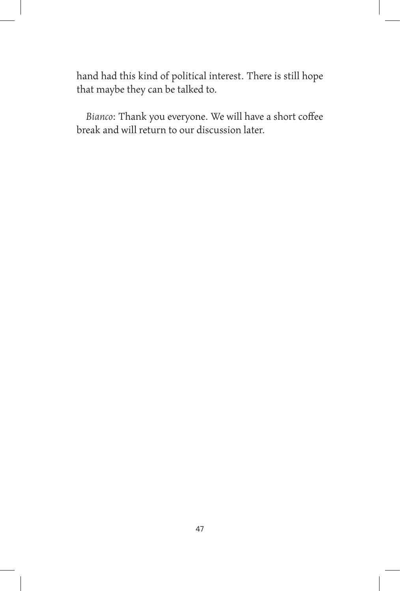hand had this kind of political interest. There is still hope that maybe they can be talked to.

*Bianco*: Thank you everyone. We will have a short coffee break and will return to our discussion later.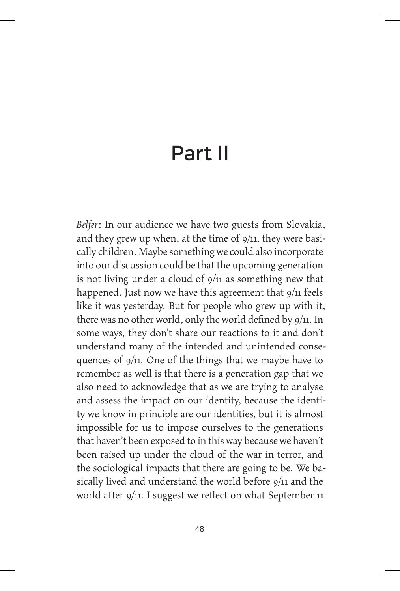## Part II

*Belfer*: In our audience we have two guests from Slovakia, and they grew up when, at the time of  $9/11$ , they were basically children. Maybe something we could also incorporate into our discussion could be that the upcoming generation is not living under a cloud of  $9/11$  as something new that happened. Just now we have this agreement that 9/11 feels like it was yesterday. But for people who grew up with it, there was no other world, only the world defined by 9/11. In some ways, they don't share our reactions to it and don't understand many of the intended and unintended consequences of 9/11. One of the things that we maybe have to remember as well is that there is a generation gap that we also need to acknowledge that as we are trying to analyse and assess the impact on our identity, because the identity we know in principle are our identities, but it is almost impossible for us to impose ourselves to the generations that haven't been exposed to in this way because we haven't been raised up under the cloud of the war in terror, and the sociological impacts that there are going to be. We basically lived and understand the world before 9/11 and the world after 9/11. I suggest we reflect on what September 11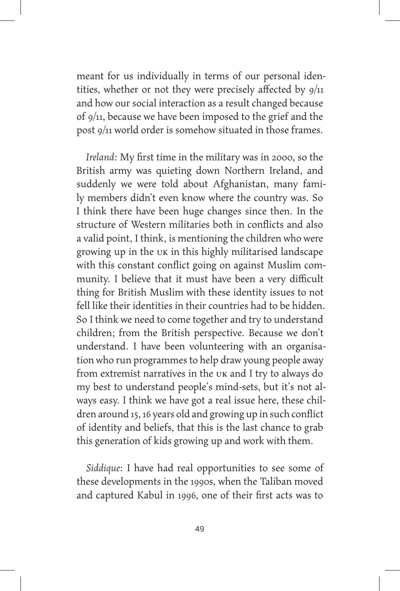meant for us individually in terms of our personal identities, whether or not they were precisely affected by 9/11 and how our social interaction as a result changed because of 9/11, because we have been imposed to the grief and the post 9/11 world order is somehow situated in those frames.

*Ireland*: My first time in the military was in 2000, so the British army was quieting down Northern Ireland, and suddenly we were told about Afghanistan, many family members didn't even know where the country was. So I think there have been huge changes since then. In the structure of Western militaries both in conflicts and also a valid point, I think, is mentioning the children who were growing up in the UK in this highly militarised landscape with this constant conflict going on against Muslim community. I believe that it must have been a very difficult thing for British Muslim with these identity issues to not fell like their identities in their countries had to be hidden. So I think we need to come together and try to understand children; from the British perspective. Because we don't understand. I have been volunteering with an organisation who run programmes to help draw young people away from extremist narratives in the UK and I try to always do my best to understand people's mind-sets, but it's not always easy. I think we have got a real issue here, these children around 15, 16 years old and growing up in such conflict of identity and beliefs, that this is the last chance to grab this generation of kids growing up and work with them.

*Siddique*: I have had real opportunities to see some of these developments in the 1990s, when the Taliban moved and captured Kabul in 1996, one of their first acts was to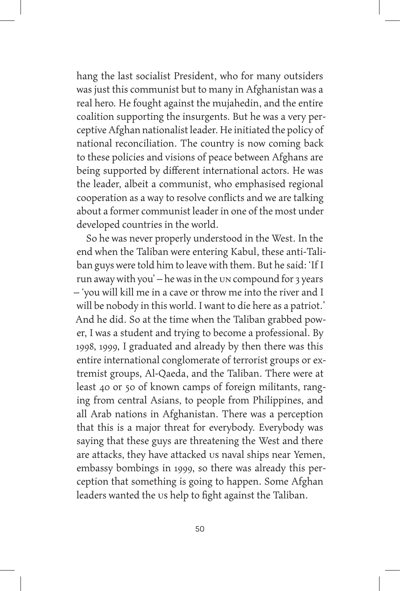hang the last socialist President, who for many outsiders was just this communist but to many in Afghanistan was a real hero. He fought against the mujahedin, and the entire coalition supporting the insurgents. But he was a very perceptive Afghan nationalist leader. He initiated the policy of national reconciliation. The country is now coming back to these policies and visions of peace between Afghans are being supported by different international actors. He was the leader, albeit a communist, who emphasised regional cooperation as a way to resolve conflicts and we are talking about a former communist leader in one of the most under developed countries in the world.

So he was never properly understood in the West. In the end when the Taliban were entering Kabul, these anti-Taliban guys were told him to leave with them. But he said: 'If I run away with you' – he was in the UN compound for 3 years – 'you will kill me in a cave or throw me into the river and I will be nobody in this world. I want to die here as a patriot.' And he did. So at the time when the Taliban grabbed power, I was a student and trying to become a professional. By 1998, 1999, I graduated and already by then there was this entire international conglomerate of terrorist groups or extremist groups, Al-Qaeda, and the Taliban. There were at least 40 or 50 of known camps of foreign militants, ranging from central Asians, to people from Philippines, and all Arab nations in Afghanistan. There was a perception that this is a major threat for everybody. Everybody was saying that these guys are threatening the West and there are attacks, they have attacked us naval ships near Yemen, embassy bombings in 1999, so there was already this perception that something is going to happen. Some Afghan leaders wanted the us help to fight against the Taliban.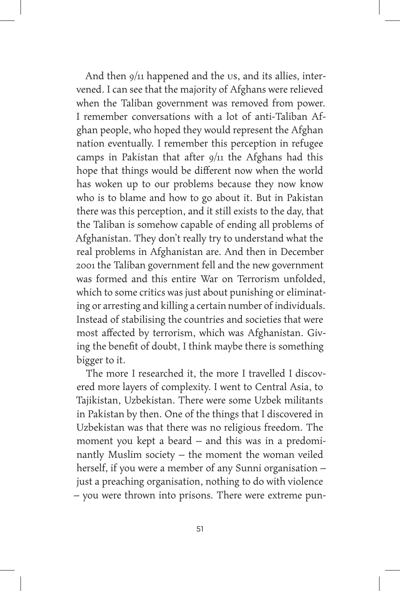And then  $9/11$  happened and the US, and its allies, intervened. I can see that the majority of Afghans were relieved when the Taliban government was removed from power. I remember conversations with a lot of anti-Taliban Afghan people, who hoped they would represent the Afghan nation eventually. I remember this perception in refugee camps in Pakistan that after  $9/11$  the Afghans had this hope that things would be different now when the world has woken up to our problems because they now know who is to blame and how to go about it. But in Pakistan there was this perception, and it still exists to the day, that the Taliban is somehow capable of ending all problems of Afghanistan. They don't really try to understand what the real problems in Afghanistan are. And then in December 2001 the Taliban government fell and the new government was formed and this entire War on Terrorism unfolded, which to some critics was just about punishing or eliminating or arresting and killing a certain number of individuals. Instead of stabilising the countries and societies that were most affected by terrorism, which was Afghanistan. Giving the benefit of doubt, I think maybe there is something bigger to it.

The more I researched it, the more I travelled I discovered more layers of complexity. I went to Central Asia, to Tajikistan, Uzbekistan. There were some Uzbek militants in Pakistan by then. One of the things that I discovered in Uzbekistan was that there was no religious freedom. The moment you kept a beard – and this was in a predominantly Muslim society – the moment the woman veiled herself, if you were a member of any Sunni organisation – just a preaching organisation, nothing to do with violence – you were thrown into prisons. There were extreme pun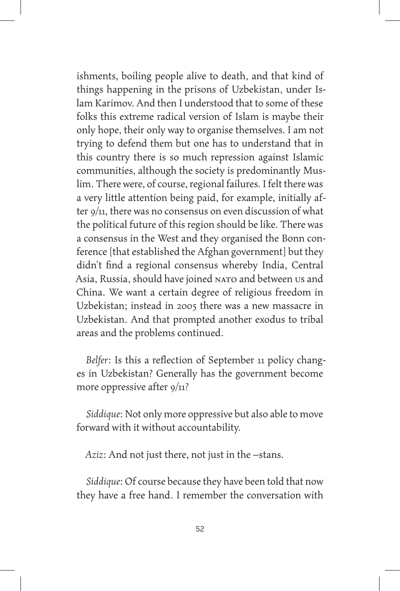ishments, boiling people alive to death, and that kind of things happening in the prisons of Uzbekistan, under Islam Karimov. And then I understood that to some of these folks this extreme radical version of Islam is maybe their only hope, their only way to organise themselves. I am not trying to defend them but one has to understand that in this country there is so much repression against Islamic communities, although the society is predominantly Muslim. There were, of course, regional failures. I felt there was a very little attention being paid, for example, initially after 9/11, there was no consensus on even discussion of what the political future of this region should be like. There was a consensus in the West and they organised the Bonn conference [that established the Afghan government] but they didn't find a regional consensus whereby India, Central Asia, Russia, should have joined NATO and between us and China. We want a certain degree of religious freedom in Uzbekistan; instead in 2005 there was a new massacre in Uzbekistan. And that prompted another exodus to tribal areas and the problems continued.

*Belfer*: Is this a reflection of September 11 policy changes in Uzbekistan? Generally has the government become more oppressive after  $9/11$ ?

*Siddique*: Not only more oppressive but also able to move forward with it without accountability.

*Aziz*: And not just there, not just in the –stans.

*Siddique*: Of course because they have been told that now they have a free hand. I remember the conversation with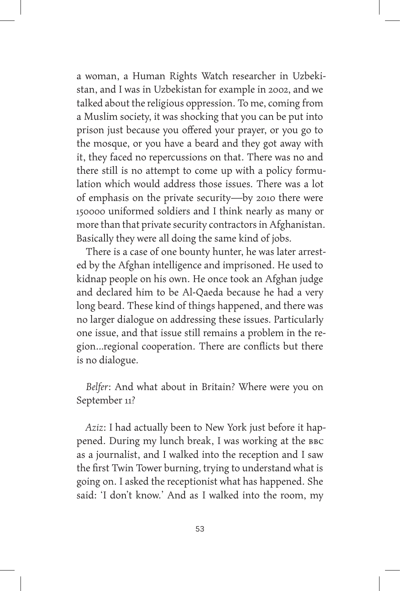a woman, a Human Rights Watch researcher in Uzbekistan, and I was in Uzbekistan for example in 2002, and we talked about the religious oppression. To me, coming from a Muslim society, it was shocking that you can be put into prison just because you offered your prayer, or you go to the mosque, or you have a beard and they got away with it, they faced no repercussions on that. There was no and there still is no attempt to come up with a policy formulation which would address those issues. There was a lot of emphasis on the private security—by 2010 there were 150000 uniformed soldiers and I think nearly as many or more than that private security contractors in Afghanistan. Basically they were all doing the same kind of jobs.

There is a case of one bounty hunter, he was later arrested by the Afghan intelligence and imprisoned. He used to kidnap people on his own. He once took an Afghan judge and declared him to be Al-Qaeda because he had a very long beard. These kind of things happened, and there was no larger dialogue on addressing these issues. Particularly one issue, and that issue still remains a problem in the region…regional cooperation. There are conflicts but there is no dialogue.

*Belfer*: And what about in Britain? Where were you on September 11?

*Aziz*: I had actually been to New York just before it happened. During my lunch break, I was working at the BBC as a journalist, and I walked into the reception and I saw the first Twin Tower burning, trying to understand what is going on. I asked the receptionist what has happened. She said: 'I don't know.' And as I walked into the room, my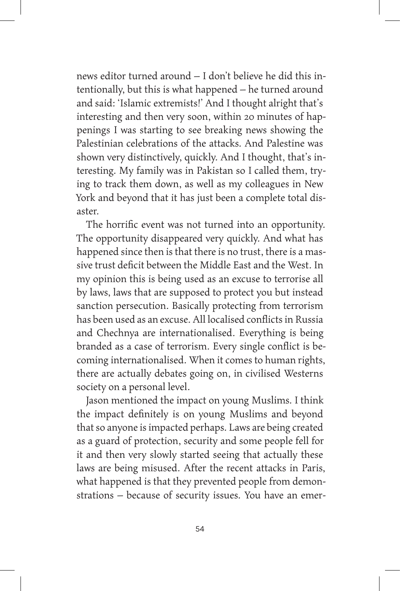news editor turned around – I don't believe he did this intentionally, but this is what happened – he turned around and said: 'Islamic extremists!' And I thought alright that's interesting and then very soon, within 20 minutes of happenings I was starting to see breaking news showing the Palestinian celebrations of the attacks. And Palestine was shown very distinctively, quickly. And I thought, that's interesting. My family was in Pakistan so I called them, trying to track them down, as well as my colleagues in New York and beyond that it has just been a complete total disaster.

The horrific event was not turned into an opportunity. The opportunity disappeared very quickly. And what has happened since then is that there is no trust, there is a massive trust deficit between the Middle East and the West. In my opinion this is being used as an excuse to terrorise all by laws, laws that are supposed to protect you but instead sanction persecution. Basically protecting from terrorism has been used as an excuse. All localised conflicts in Russia and Chechnya are internationalised. Everything is being branded as a case of terrorism. Every single conflict is becoming internationalised. When it comes to human rights, there are actually debates going on, in civilised Westerns society on a personal level.

Jason mentioned the impact on young Muslims. I think the impact definitely is on young Muslims and beyond that so anyone is impacted perhaps. Laws are being created as a guard of protection, security and some people fell for it and then very slowly started seeing that actually these laws are being misused. After the recent attacks in Paris, what happened is that they prevented people from demonstrations – because of security issues. You have an emer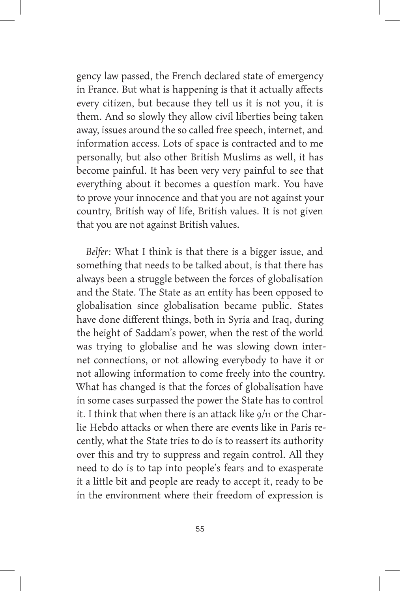gency law passed, the French declared state of emergency in France. But what is happening is that it actually affects every citizen, but because they tell us it is not you, it is them. And so slowly they allow civil liberties being taken away, issues around the so called free speech, internet, and information access. Lots of space is contracted and to me personally, but also other British Muslims as well, it has become painful. It has been very very painful to see that everything about it becomes a question mark. You have to prove your innocence and that you are not against your country, British way of life, British values. It is not given that you are not against British values.

*Belfer*: What I think is that there is a bigger issue, and something that needs to be talked about, is that there has always been a struggle between the forces of globalisation and the State. The State as an entity has been opposed to globalisation since globalisation became public. States have done different things, both in Syria and Iraq, during the height of Saddam's power, when the rest of the world was trying to globalise and he was slowing down internet connections, or not allowing everybody to have it or not allowing information to come freely into the country. What has changed is that the forces of globalisation have in some cases surpassed the power the State has to control it. I think that when there is an attack like  $9/11$  or the Charlie Hebdo attacks or when there are events like in Paris recently, what the State tries to do is to reassert its authority over this and try to suppress and regain control. All they need to do is to tap into people's fears and to exasperate it a little bit and people are ready to accept it, ready to be in the environment where their freedom of expression is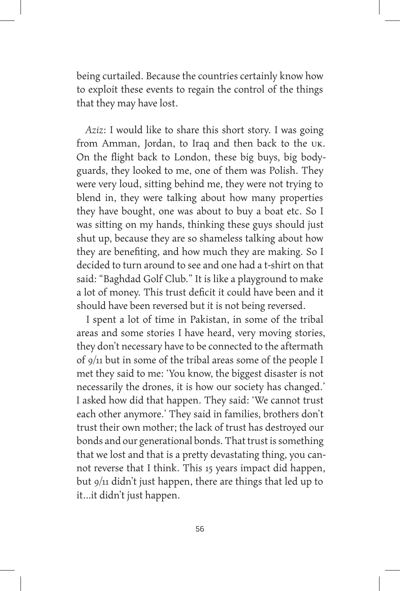being curtailed. Because the countries certainly know how to exploit these events to regain the control of the things that they may have lost.

*Aziz*: I would like to share this short story. I was going from Amman, Jordan, to Iraq and then back to the UK. On the flight back to London, these big buys, big bodyguards, they looked to me, one of them was Polish. They were very loud, sitting behind me, they were not trying to blend in, they were talking about how many properties they have bought, one was about to buy a boat etc. So I was sitting on my hands, thinking these guys should just shut up, because they are so shameless talking about how they are benefiting, and how much they are making. So I decided to turn around to see and one had a t-shirt on that said: "Baghdad Golf Club." It is like a playground to make a lot of money. This trust deficit it could have been and it should have been reversed but it is not being reversed.

I spent a lot of time in Pakistan, in some of the tribal areas and some stories I have heard, very moving stories, they don't necessary have to be connected to the aftermath of 9/11 but in some of the tribal areas some of the people I met they said to me: 'You know, the biggest disaster is not necessarily the drones, it is how our society has changed.' I asked how did that happen. They said: 'We cannot trust each other anymore.' They said in families, brothers don't trust their own mother; the lack of trust has destroyed our bonds and our generational bonds. That trust is something that we lost and that is a pretty devastating thing, you cannot reverse that I think. This 15 years impact did happen, but 9/11 didn't just happen, there are things that led up to it…it didn't just happen.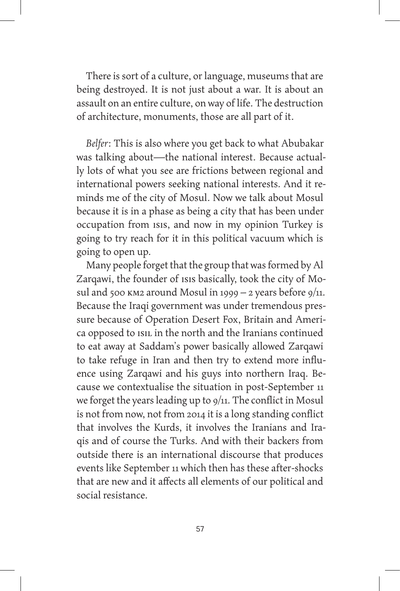There is sort of a culture, or language, museums that are being destroyed. It is not just about a war. It is about an assault on an entire culture, on way of life. The destruction of architecture, monuments, those are all part of it.

*Belfer*: This is also where you get back to what Abubakar was talking about—the national interest. Because actually lots of what you see are frictions between regional and international powers seeking national interests. And it reminds me of the city of Mosul. Now we talk about Mosul because it is in a phase as being a city that has been under occupation from ISIS, and now in my opinion Turkey is going to try reach for it in this political vacuum which is going to open up.

Many people forget that the group that was formed by Al Zarqawi, the founder of ISIS basically, took the city of Mosul and 500 KM2 around Mosul in 1999 – 2 years before  $9/11$ . Because the Iraqi government was under tremendous pressure because of Operation Desert Fox, Britain and America opposed to ISIL in the north and the Iranians continued to eat away at Saddam's power basically allowed Zarqawi to take refuge in Iran and then try to extend more influence using Zarqawi and his guys into northern Iraq. Because we contextualise the situation in post-September 11 we forget the years leading up to  $9/11$ . The conflict in Mosul is not from now, not from 2014 it is a long standing conflict that involves the Kurds, it involves the Iranians and Iraqis and of course the Turks. And with their backers from outside there is an international discourse that produces events like September 11 which then has these after-shocks that are new and it affects all elements of our political and social resistance.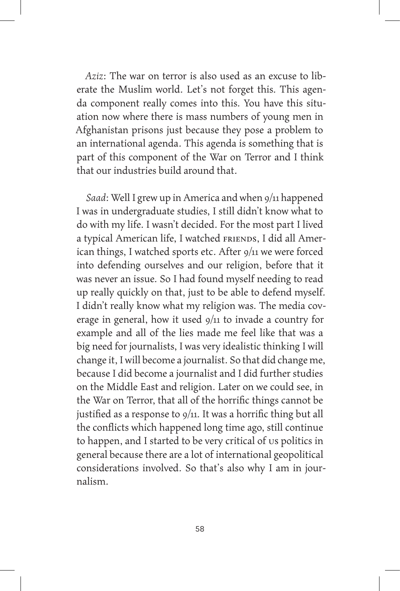*Aziz*: The war on terror is also used as an excuse to liberate the Muslim world. Let's not forget this. This agenda component really comes into this. You have this situation now where there is mass numbers of young men in Afghanistan prisons just because they pose a problem to an international agenda. This agenda is something that is part of this component of the War on Terror and I think that our industries build around that.

*Saad*: Well I grew up in America and when 9/11 happened I was in undergraduate studies, I still didn't know what to do with my life. I wasn't decided. For the most part I lived a typical American life, I watched FRIENDS, I did all American things, I watched sports etc. After 9/11 we were forced into defending ourselves and our religion, before that it was never an issue. So I had found myself needing to read up really quickly on that, just to be able to defend myself. I didn't really know what my religion was. The media coverage in general, how it used 9/11 to invade a country for example and all of the lies made me feel like that was a big need for journalists, I was very idealistic thinking I will change it, I will become a journalist. So that did change me, because I did become a journalist and I did further studies on the Middle East and religion. Later on we could see, in the War on Terror, that all of the horrific things cannot be justified as a response to  $9/11$ . It was a horrific thing but all the conflicts which happened long time ago, still continue to happen, and I started to be very critical of us politics in general because there are a lot of international geopolitical considerations involved. So that's also why I am in journalism.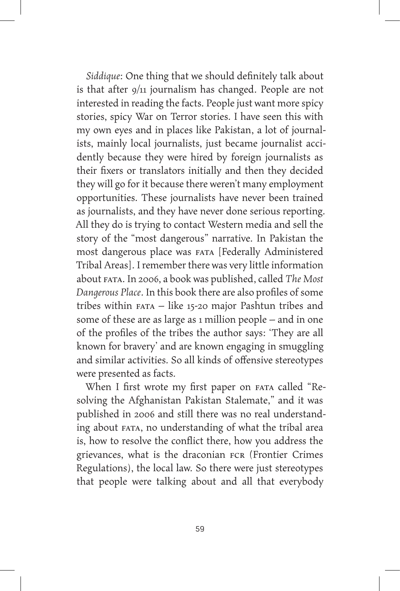*Siddique*: One thing that we should definitely talk about is that after 9/11 journalism has changed. People are not interested in reading the facts. People just want more spicy stories, spicy War on Terror stories. I have seen this with my own eyes and in places like Pakistan, a lot of journalists, mainly local journalists, just became journalist accidently because they were hired by foreign journalists as their fixers or translators initially and then they decided they will go for it because there weren't many employment opportunities. These journalists have never been trained as journalists, and they have never done serious reporting. All they do is trying to contact Western media and sell the story of the "most dangerous" narrative. In Pakistan the most dangerous place was FATA [Federally Administered Tribal Areas]. I remember there was very little information about FATA. In 2006, a book was published, called *The Most Dangerous Place*. In this book there are also profiles of some tribes within FATA – like 15-20 major Pashtun tribes and some of these are as large as 1 million people – and in one of the profiles of the tribes the author says: 'They are all known for bravery' and are known engaging in smuggling and similar activities. So all kinds of offensive stereotypes were presented as facts.

When I first wrote my first paper on FATA called "Resolving the Afghanistan Pakistan Stalemate," and it was published in 2006 and still there was no real understanding about FATA, no understanding of what the tribal area is, how to resolve the conflict there, how you address the grievances, what is the draconian FCR (Frontier Crimes Regulations), the local law. So there were just stereotypes that people were talking about and all that everybody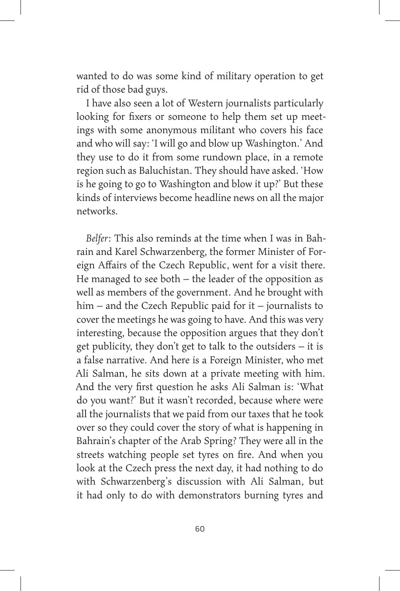wanted to do was some kind of military operation to get rid of those bad guys.

I have also seen a lot of Western journalists particularly looking for fixers or someone to help them set up meetings with some anonymous militant who covers his face and who will say: 'I will go and blow up Washington.' And they use to do it from some rundown place, in a remote region such as Baluchistan. They should have asked. 'How is he going to go to Washington and blow it up?' But these kinds of interviews become headline news on all the major networks.

*Belfer*: This also reminds at the time when I was in Bahrain and Karel Schwarzenberg, the former Minister of Foreign Affairs of the Czech Republic, went for a visit there. He managed to see both – the leader of the opposition as well as members of the government. And he brought with him – and the Czech Republic paid for it – journalists to cover the meetings he was going to have. And this was very interesting, because the opposition argues that they don't get publicity, they don't get to talk to the outsiders – it is a false narrative. And here is a Foreign Minister, who met Ali Salman, he sits down at a private meeting with him. And the very first question he asks Ali Salman is: 'What do you want?' But it wasn't recorded, because where were all the journalists that we paid from our taxes that he took over so they could cover the story of what is happening in Bahrain's chapter of the Arab Spring? They were all in the streets watching people set tyres on fire. And when you look at the Czech press the next day, it had nothing to do with Schwarzenberg's discussion with Ali Salman, but it had only to do with demonstrators burning tyres and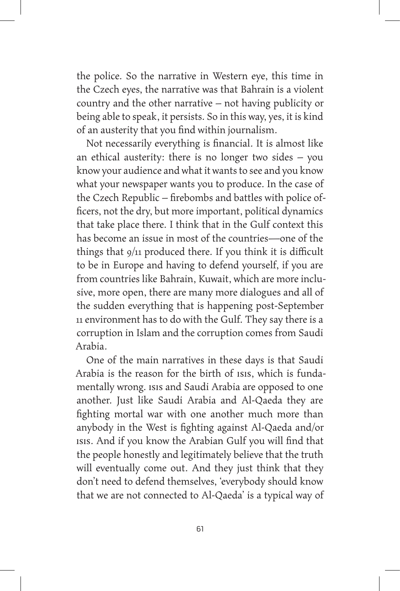the police. So the narrative in Western eye, this time in the Czech eyes, the narrative was that Bahrain is a violent country and the other narrative – not having publicity or being able to speak, it persists. So in this way, yes, it is kind of an austerity that you find within journalism.

Not necessarily everything is financial. It is almost like an ethical austerity: there is no longer two sides – you know your audience and what it wants to see and you know what your newspaper wants you to produce. In the case of the Czech Republic – firebombs and battles with police officers, not the dry, but more important, political dynamics that take place there. I think that in the Gulf context this has become an issue in most of the countries—one of the things that 9/11 produced there. If you think it is difficult to be in Europe and having to defend yourself, if you are from countries like Bahrain, Kuwait, which are more inclusive, more open, there are many more dialogues and all of the sudden everything that is happening post-September 11 environment has to do with the Gulf. They say there is a corruption in Islam and the corruption comes from Saudi Arabia.

One of the main narratives in these days is that Saudi Arabia is the reason for the birth of ISIS, which is fundamentally wrong. ISIS and Saudi Arabia are opposed to one another. Just like Saudi Arabia and Al-Qaeda they are fighting mortal war with one another much more than anybody in the West is fighting against Al-Qaeda and/or ISIS. And if you know the Arabian Gulf you will find that the people honestly and legitimately believe that the truth will eventually come out. And they just think that they don't need to defend themselves, 'everybody should know that we are not connected to Al-Qaeda' is a typical way of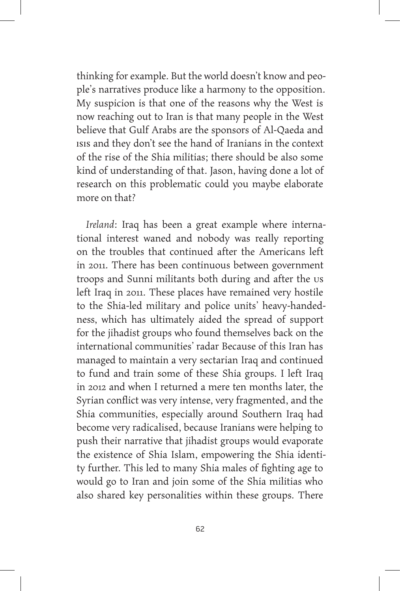thinking for example. But the world doesn't know and people's narratives produce like a harmony to the opposition. My suspicion is that one of the reasons why the West is now reaching out to Iran is that many people in the West believe that Gulf Arabs are the sponsors of Al-Qaeda and ISIS and they don't see the hand of Iranians in the context of the rise of the Shia militias; there should be also some kind of understanding of that. Jason, having done a lot of research on this problematic could you maybe elaborate more on that?

*Ireland*: Iraq has been a great example where international interest waned and nobody was really reporting on the troubles that continued after the Americans left in 2011. There has been continuous between government troops and Sunni militants both during and after the us left Iraq in 2011. These places have remained very hostile to the Shia-led military and police units' heavy-handedness, which has ultimately aided the spread of support for the jihadist groups who found themselves back on the international communities' radar Because of this Iran has managed to maintain a very sectarian Iraq and continued to fund and train some of these Shia groups. I left Iraq in 2012 and when I returned a mere ten months later, the Syrian conflict was very intense, very fragmented, and the Shia communities, especially around Southern Iraq had become very radicalised, because Iranians were helping to push their narrative that jihadist groups would evaporate the existence of Shia Islam, empowering the Shia identity further. This led to many Shia males of fighting age to would go to Iran and join some of the Shia militias who also shared key personalities within these groups. There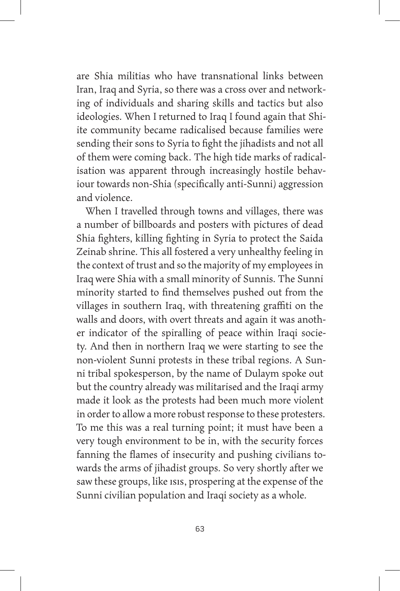are Shia militias who have transnational links between Iran, Iraq and Syria, so there was a cross over and networking of individuals and sharing skills and tactics but also ideologies. When I returned to Iraq I found again that Shiite community became radicalised because families were sending their sons to Syria to fight the jihadists and not all of them were coming back. The high tide marks of radicalisation was apparent through increasingly hostile behaviour towards non-Shia (specifically anti-Sunni) aggression and violence.

When I travelled through towns and villages, there was a number of billboards and posters with pictures of dead Shia fighters, killing fighting in Syria to protect the Saida Zeinab shrine. This all fostered a very unhealthy feeling in the context of trust and so the majority of my employees in Iraq were Shia with a small minority of Sunnis. The Sunni minority started to find themselves pushed out from the villages in southern Iraq, with threatening graffiti on the walls and doors, with overt threats and again it was another indicator of the spiralling of peace within Iraqi society. And then in northern Iraq we were starting to see the non-violent Sunni protests in these tribal regions. A Sunni tribal spokesperson, by the name of Dulaym spoke out but the country already was militarised and the Iraqi army made it look as the protests had been much more violent in order to allow a more robust response to these protesters. To me this was a real turning point; it must have been a very tough environment to be in, with the security forces fanning the flames of insecurity and pushing civilians towards the arms of jihadist groups. So very shortly after we saw these groups, like ISIS, prospering at the expense of the Sunni civilian population and Iraqi society as a whole.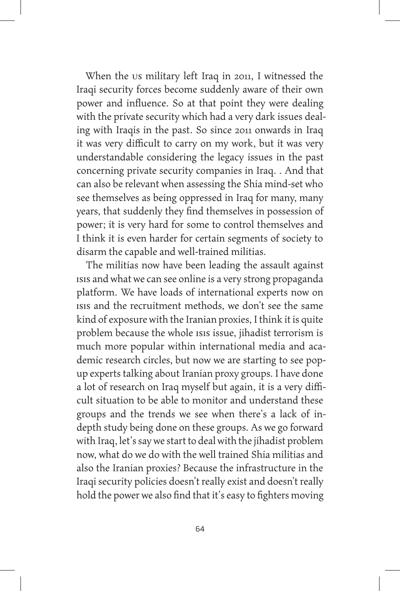When the US military left Iraq in 2011, I witnessed the Iraqi security forces become suddenly aware of their own power and influence. So at that point they were dealing with the private security which had a very dark issues dealing with Iraqis in the past. So since 2011 onwards in Iraq it was very difficult to carry on my work, but it was very understandable considering the legacy issues in the past concerning private security companies in Iraq. . And that can also be relevant when assessing the Shia mind-set who see themselves as being oppressed in Iraq for many, many years, that suddenly they find themselves in possession of power; it is very hard for some to control themselves and I think it is even harder for certain segments of society to disarm the capable and well-trained militias.

The militias now have been leading the assault against ISIS and what we can see online is a very strong propaganda platform. We have loads of international experts now on ISIS and the recruitment methods, we don't see the same kind of exposure with the Iranian proxies, I think it is quite problem because the whole ISIS issue, jihadist terrorism is much more popular within international media and academic research circles, but now we are starting to see popup experts talking about Iranian proxy groups. I have done a lot of research on Iraq myself but again, it is a very difficult situation to be able to monitor and understand these groups and the trends we see when there's a lack of indepth study being done on these groups. As we go forward with Iraq, let's say we start to deal with the jihadist problem now, what do we do with the well trained Shia militias and also the Iranian proxies? Because the infrastructure in the Iraqi security policies doesn't really exist and doesn't really hold the power we also find that it's easy to fighters moving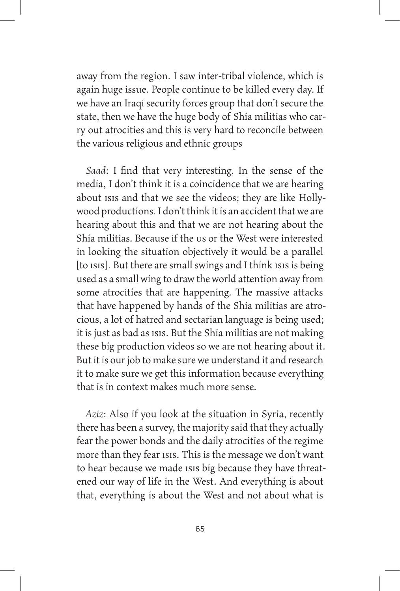away from the region. I saw inter-tribal violence, which is again huge issue. People continue to be killed every day. If we have an Iraqi security forces group that don't secure the state, then we have the huge body of Shia militias who carry out atrocities and this is very hard to reconcile between the various religious and ethnic groups

*Saad*: I find that very interesting. In the sense of the media, I don't think it is a coincidence that we are hearing about isis and that we see the videos; they are like Hollywood productions. I don't think it is an accident that we are hearing about this and that we are not hearing about the Shia militias. Because if the us or the West were interested. in looking the situation objectively it would be a parallel [to ISIS]. But there are small swings and I think ISIS is being used as a small wing to draw the world attention away from some atrocities that are happening. The massive attacks that have happened by hands of the Shia militias are atrocious, a lot of hatred and sectarian language is being used; it is just as bad as ISIS. But the Shia militias are not making these big production videos so we are not hearing about it. But it is our job to make sure we understand it and research it to make sure we get this information because everything that is in context makes much more sense.

*Aziz*: Also if you look at the situation in Syria, recently there has been a survey, the majority said that they actually fear the power bonds and the daily atrocities of the regime more than they fear ISIS. This is the message we don't want to hear because we made ISIS big because they have threatened our way of life in the West. And everything is about that, everything is about the West and not about what is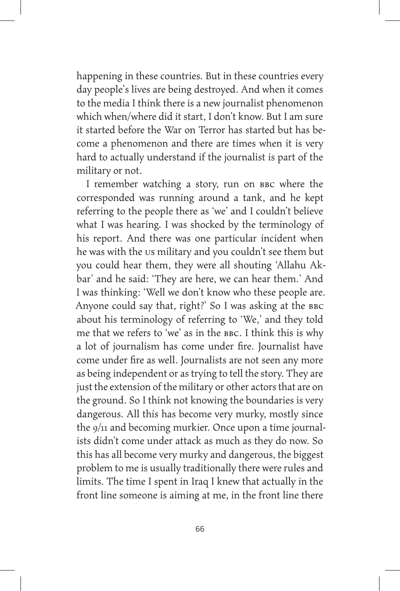happening in these countries. But in these countries every day people's lives are being destroyed. And when it comes to the media I think there is a new journalist phenomenon which when/where did it start, I don't know. But I am sure it started before the War on Terror has started but has become a phenomenon and there are times when it is very hard to actually understand if the journalist is part of the military or not.

I remember watching a story, run on BBC where the corresponded was running around a tank, and he kept referring to the people there as 'we' and I couldn't believe what I was hearing. I was shocked by the terminology of his report. And there was one particular incident when he was with the us military and you couldn't see them but you could hear them, they were all shouting 'Allahu Akbar' and he said: 'They are here, we can hear them.' And I was thinking: 'Well we don't know who these people are. Anyone could say that, right?' So I was asking at the BBC about his terminology of referring to 'We,' and they told me that we refers to 'we' as in the BBC. I think this is why a lot of journalism has come under fire. Journalist have come under fire as well. Journalists are not seen any more as being independent or as trying to tell the story. They are just the extension of the military or other actors that are on the ground. So I think not knowing the boundaries is very dangerous. All this has become very murky, mostly since the 9/11 and becoming murkier. Once upon a time journalists didn't come under attack as much as they do now. So this has all become very murky and dangerous, the biggest problem to me is usually traditionally there were rules and limits. The time I spent in Iraq I knew that actually in the front line someone is aiming at me, in the front line there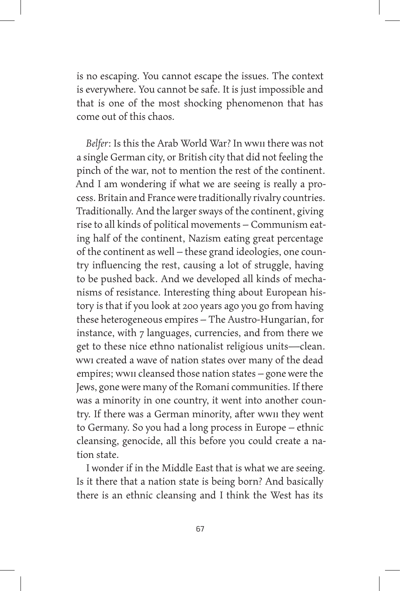is no escaping. You cannot escape the issues. The context is everywhere. You cannot be safe. It is just impossible and that is one of the most shocking phenomenon that has come out of this chaos.

*Belfer*: Is this the Arab World War? In WWII there was not a single German city, or British city that did not feeling the pinch of the war, not to mention the rest of the continent. And I am wondering if what we are seeing is really a process. Britain and France were traditionally rivalry countries. Traditionally. And the larger sways of the continent, giving rise to all kinds of political movements – Communism eating half of the continent, Nazism eating great percentage of the continent as well – these grand ideologies, one country influencing the rest, causing a lot of struggle, having to be pushed back. And we developed all kinds of mechanisms of resistance. Interesting thing about European history is that if you look at 200 years ago you go from having these heterogeneous empires – The Austro-Hungarian, for instance, with 7 languages, currencies, and from there we get to these nice ethno nationalist religious units—clean. WWI created a wave of nation states over many of the dead empires; WWII cleansed those nation states – gone were the Jews, gone were many of the Romani communities. If there was a minority in one country, it went into another country. If there was a German minority, after WWII they went to Germany. So you had a long process in Europe – ethnic cleansing, genocide, all this before you could create a nation state.

I wonder if in the Middle East that is what we are seeing. Is it there that a nation state is being born? And basically there is an ethnic cleansing and I think the West has its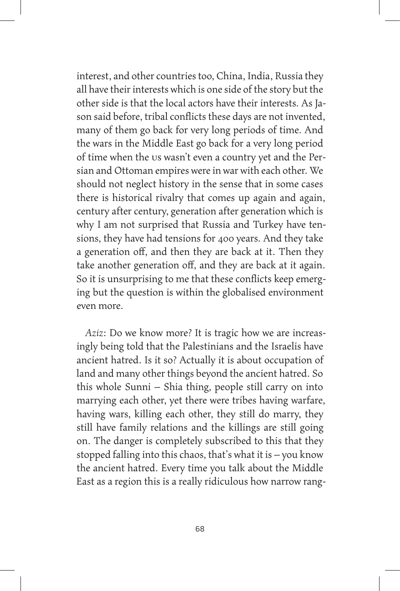interest, and other countries too, China, India, Russia they all have their interests which is one side of the story but the other side is that the local actors have their interests. As Jason said before, tribal conflicts these days are not invented, many of them go back for very long periods of time. And the wars in the Middle East go back for a very long period of time when the US wasn't even a country yet and the Persian and Ottoman empires were in war with each other. We should not neglect history in the sense that in some cases there is historical rivalry that comes up again and again, century after century, generation after generation which is why I am not surprised that Russia and Turkey have tensions, they have had tensions for 400 years. And they take a generation off, and then they are back at it. Then they take another generation off, and they are back at it again. So it is unsurprising to me that these conflicts keep emerging but the question is within the globalised environment even more.

*Aziz*: Do we know more? It is tragic how we are increasingly being told that the Palestinians and the Israelis have ancient hatred. Is it so? Actually it is about occupation of land and many other things beyond the ancient hatred. So this whole Sunni – Shia thing, people still carry on into marrying each other, yet there were tribes having warfare, having wars, killing each other, they still do marry, they still have family relations and the killings are still going on. The danger is completely subscribed to this that they stopped falling into this chaos, that's what it is – you know the ancient hatred. Every time you talk about the Middle East as a region this is a really ridiculous how narrow rang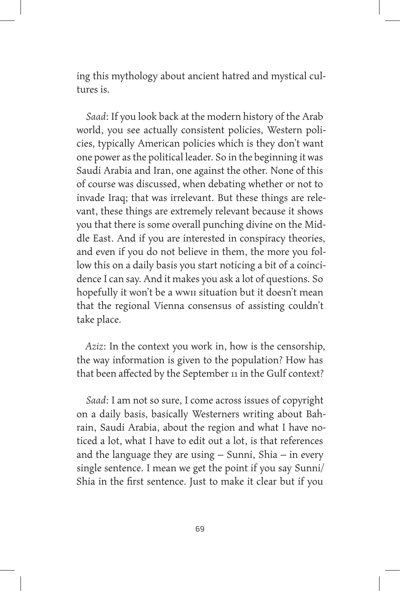ing this mythology about ancient hatred and mystical cultures is.

*Saad*: If you look back at the modern history of the Arab world, you see actually consistent policies, Western policies, typically American policies which is they don't want one power as the political leader. So in the beginning it was Saudi Arabia and Iran, one against the other. None of this of course was discussed, when debating whether or not to invade Iraq; that was irrelevant. But these things are relevant, these things are extremely relevant because it shows you that there is some overall punching divine on the Middle East. And if you are interested in conspiracy theories, and even if you do not believe in them, the more you follow this on a daily basis you start noticing a bit of a coincidence I can say. And it makes you ask a lot of questions. So hopefully it won't be a wwii situation but it doesn't mean that the regional Vienna consensus of assisting couldn't take place.

*Aziz*: In the context you work in, how is the censorship, the way information is given to the population? How has that been affected by the September 11 in the Gulf context?

*Saad*: I am not so sure, I come across issues of copyright on a daily basis, basically Westerners writing about Bahrain, Saudi Arabia, about the region and what I have noticed a lot, what I have to edit out a lot, is that references and the language they are using – Sunni, Shia – in every single sentence. I mean we get the point if you say Sunni/ Shia in the first sentence. Just to make it clear but if you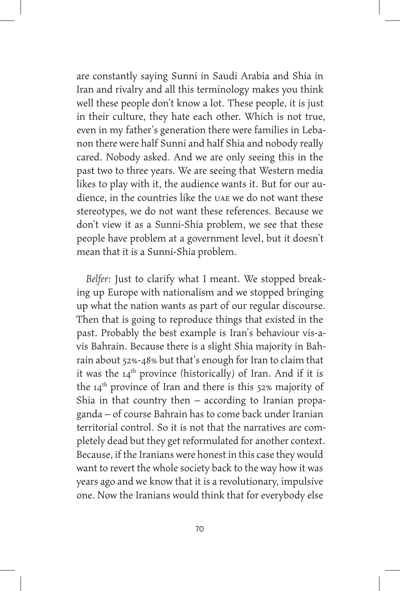are constantly saying Sunni in Saudi Arabia and Shia in Iran and rivalry and all this terminology makes you think well these people don't know a lot. These people, it is just in their culture, they hate each other. Which is not true, even in my father's generation there were families in Lebanon there were half Sunni and half Shia and nobody really cared. Nobody asked. And we are only seeing this in the past two to three years. We are seeing that Western media likes to play with it, the audience wants it. But for our audience, in the countries like the UAE we do not want these stereotypes, we do not want these references. Because we don't view it as a Sunni-Shia problem, we see that these people have problem at a government level, but it doesn't mean that it is a Sunni-Shia problem.

*Belfer*: Just to clarify what I meant. We stopped breaking up Europe with nationalism and we stopped bringing up what the nation wants as part of our regular discourse. Then that is going to reproduce things that existed in the past. Probably the best example is Iran's behaviour vis-avis Bahrain. Because there is a slight Shia majority in Bahrain about 52%-48% but that's enough for Iran to claim that it was the  $14<sup>th</sup>$  province (historically) of Iran. And if it is the  $14<sup>th</sup>$  province of Iran and there is this 52% majority of Shia in that country then – according to Iranian propaganda – of course Bahrain has to come back under Iranian territorial control. So it is not that the narratives are completely dead but they get reformulated for another context. Because, if the Iranians were honest in this case they would want to revert the whole society back to the way how it was years ago and we know that it is a revolutionary, impulsive one. Now the Iranians would think that for everybody else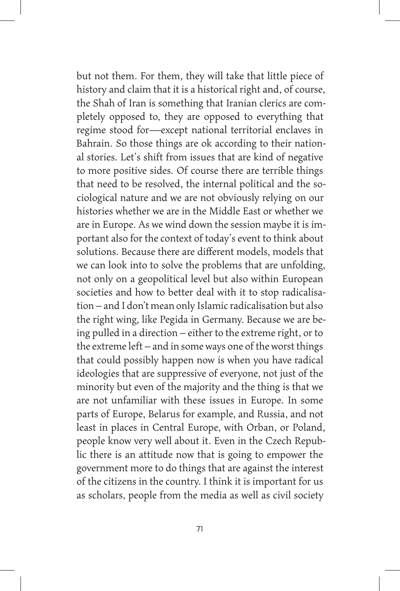but not them. For them, they will take that little piece of history and claim that it is a historical right and, of course, the Shah of Iran is something that Iranian clerics are completely opposed to, they are opposed to everything that regime stood for—except national territorial enclaves in Bahrain. So those things are ok according to their national stories. Let's shift from issues that are kind of negative to more positive sides. Of course there are terrible things that need to be resolved, the internal political and the sociological nature and we are not obviously relying on our histories whether we are in the Middle East or whether we are in Europe. As we wind down the session maybe it is important also for the context of today's event to think about solutions. Because there are different models, models that we can look into to solve the problems that are unfolding, not only on a geopolitical level but also within European societies and how to better deal with it to stop radicalisation – and I don't mean only Islamic radicalisation but also the right wing, like Pegida in Germany. Because we are being pulled in a direction – either to the extreme right, or to the extreme left – and in some ways one of the worst things that could possibly happen now is when you have radical ideologies that are suppressive of everyone, not just of the minority but even of the majority and the thing is that we are not unfamiliar with these issues in Europe. In some parts of Europe, Belarus for example, and Russia, and not least in places in Central Europe, with Orban, or Poland, people know very well about it. Even in the Czech Republic there is an attitude now that is going to empower the government more to do things that are against the interest of the citizens in the country. I think it is important for us as scholars, people from the media as well as civil society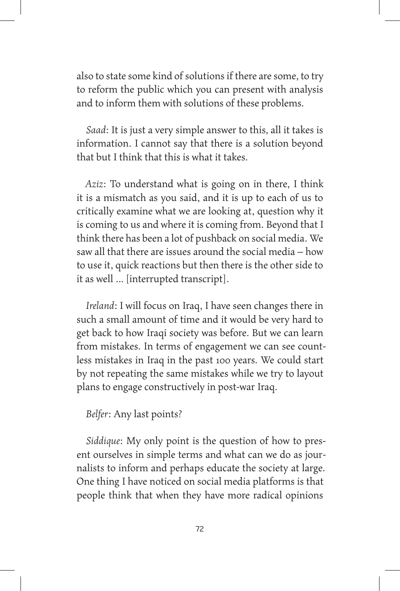also to state some kind of solutions if there are some, to try to reform the public which you can present with analysis and to inform them with solutions of these problems.

*Saad*: It is just a very simple answer to this, all it takes is information. I cannot say that there is a solution beyond that but I think that this is what it takes.

*Aziz*: To understand what is going on in there, I think it is a mismatch as you said, and it is up to each of us to critically examine what we are looking at, question why it is coming to us and where it is coming from. Beyond that I think there has been a lot of pushback on social media. We saw all that there are issues around the social media – how to use it, quick reactions but then there is the other side to it as well … [interrupted transcript].

*Ireland*: I will focus on Iraq, I have seen changes there in such a small amount of time and it would be very hard to get back to how Iraqi society was before. But we can learn from mistakes. In terms of engagement we can see countless mistakes in Iraq in the past 100 years. We could start by not repeating the same mistakes while we try to layout plans to engage constructively in post-war Iraq.

## *Belfer*: Any last points?

*Siddique*: My only point is the question of how to present ourselves in simple terms and what can we do as journalists to inform and perhaps educate the society at large. One thing I have noticed on social media platforms is that people think that when they have more radical opinions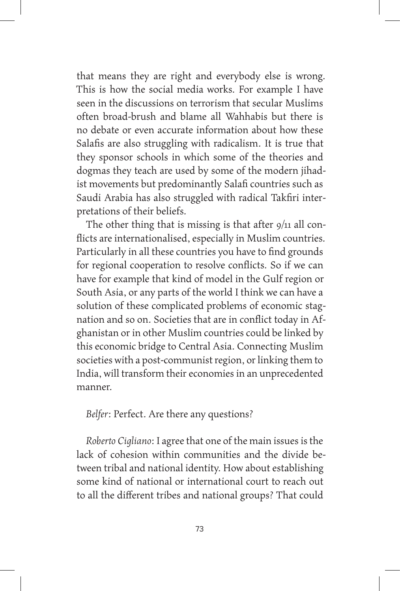that means they are right and everybody else is wrong. This is how the social media works. For example I have seen in the discussions on terrorism that secular Muslims often broad-brush and blame all Wahhabis but there is no debate or even accurate information about how these Salafis are also struggling with radicalism. It is true that they sponsor schools in which some of the theories and dogmas they teach are used by some of the modern jihadist movements but predominantly Salafi countries such as Saudi Arabia has also struggled with radical Takfiri interpretations of their beliefs.

The other thing that is missing is that after  $9/11$  all conflicts are internationalised, especially in Muslim countries. Particularly in all these countries you have to find grounds for regional cooperation to resolve conflicts. So if we can have for example that kind of model in the Gulf region or South Asia, or any parts of the world I think we can have a solution of these complicated problems of economic stagnation and so on. Societies that are in conflict today in Afghanistan or in other Muslim countries could be linked by this economic bridge to Central Asia. Connecting Muslim societies with a post-communist region, or linking them to India, will transform their economies in an unprecedented manner.

*Belfer*: Perfect. Are there any questions?

*Roberto Cigliano*: I agree that one of the main issues is the lack of cohesion within communities and the divide between tribal and national identity. How about establishing some kind of national or international court to reach out to all the different tribes and national groups? That could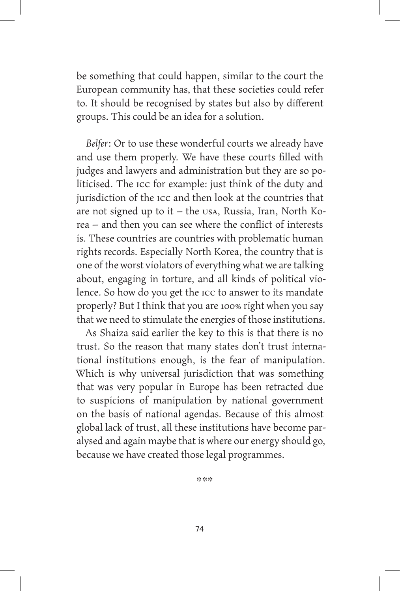be something that could happen, similar to the court the European community has, that these societies could refer to. It should be recognised by states but also by different groups. This could be an idea for a solution.

*Belfer*: Or to use these wonderful courts we already have and use them properly. We have these courts filled with judges and lawyers and administration but they are so politicised. The ICC for example: just think of the duty and jurisdiction of the ICC and then look at the countries that are not signed up to it – the USA, Russia, Iran, North Korea – and then you can see where the conflict of interests is. These countries are countries with problematic human rights records. Especially North Korea, the country that is one of the worst violators of everything what we are talking about, engaging in torture, and all kinds of political violence. So how do you get the ICC to answer to its mandate properly? But I think that you are 100% right when you say that we need to stimulate the energies of those institutions.

As Shaiza said earlier the key to this is that there is no trust. So the reason that many states don't trust international institutions enough, is the fear of manipulation. Which is why universal jurisdiction that was something that was very popular in Europe has been retracted due to suspicions of manipulation by national government on the basis of national agendas. Because of this almost global lack of trust, all these institutions have become paralysed and again maybe that is where our energy should go, because we have created those legal programmes.

\*\*\*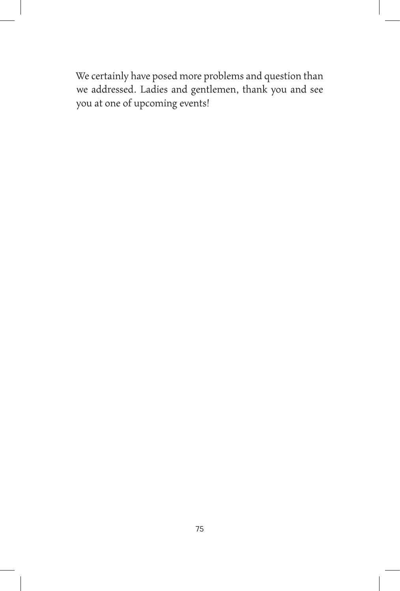We certainly have posed more problems and question than we addressed. Ladies and gentlemen, thank you and see you at one of upcoming events!